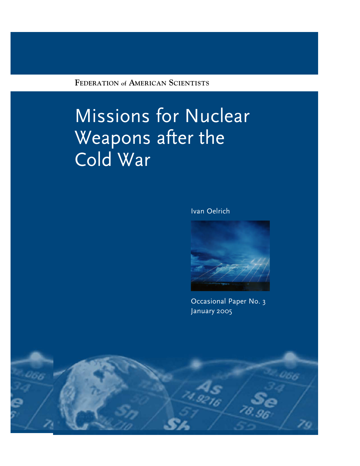**FEDERATION of AMERICAN SCIENTISTS FEDERATION of AMERICAN SCIENTISTS**

# Missions for Nuclear Weapons after the Cold War

Ivan Oelrich



Occasional Paper No. 3 January 2005

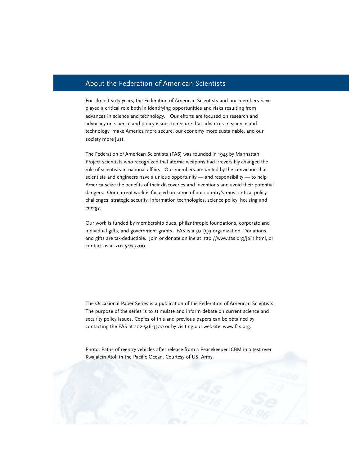#### About the Federation of American Scientists

For almost sixty years, the Federation of American Scientists and our members have played a critical role both in identifying opportunities and risks resulting from advances in science and technology. Our efforts are focused on research and advocacy on science and policy issues to ensure that advances in science and technology make America more secure, our economy more sustainable, and our society more just.

The Federation of American Scientists (FAS) was founded in 1945 by Manhattan Project scientists who recognized that atomic weapons had irreversibly changed the role of scientists in national affairs. Our members are united by the conviction that scientists and engineers have a unique opportunity — and responsibility — to help America seize the benefits of their discoveries and inventions and avoid their potential dangers. Our current work is focused on some of our country's most critical policy challenges: strategic security, information technologies, science policy, housing and energy.

Our work is funded by membership dues, philanthropic foundations, corporate and individual gifts, and government grants. FAS is a  $501(c)3$  organization. Donations and gifts are tax-deductible. Join or donate online at http://www.fas.org/join.html, or contact us at 202.546.3300.

The Occasional Paper Series is a publication of the Federation of American Scientists. The purpose of the series is to stimulate and inform debate on current science and security policy issues. Copies of this and previous papers can be obtained by contacting the FAS at 202-546-3300 or by visiting our website: www.fas.org.

Photo: Paths of reentry vehicles after release from a Peacekeeper ICBM in a test over Kwajalein Atoll in the Pacific Ocean. Courtesy of US. Army.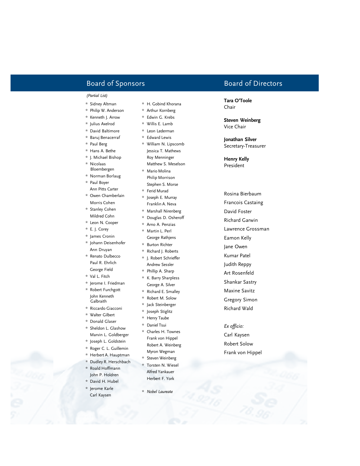#### Board of Sponsors Board of Directors

#### *(Partial List)*

- \* Sidney Altman
- \* Philip W. Anderson
- \* Kenneth J. Arrow
- \* Julius Axelrod
- \* David Baltimore
- \* Baruj Benacerraf
- \* Paul Berg
- \* Hans A. Bethe
- \* J. Michael Bishop
- \* Nicolaas Bloembergen
- \* Norman Borlaug \* Paul Boyer
- Ann Pitts Carter \* Owen Chamberlain Morris Cohen
- \* Stanley Cohen Mildred Cohn
- \* Leon N. Cooper
- \* E. J. Corey
- \* James Cronin
- \* Johann Deisenhofer Ann Druyan
- \* Renato Dulbecco Paul R. Ehrlich George Field
- \* Val L. Fitch
- \* Jerome I. Friedman
- \* Robert Furchgott John Kenneth Galbraith
- \* Riccardo Giacconi
- \* Walter Gilbert
- \* Donald Glaser
- \* Sheldon L. Glashow Marvin L. Goldberger
- \* Joseph L. Goldstein
- \* Roger C. L. Guillemin
- \* Herbert A. Hauptman
- \* Dudley R. Herschbach
- \* Roald Hoffmann John P. Holdren
- \* David H. Hubel
- \* Jerome Karle Carl Kaysen
- \* H. Gobind Khorana
- Arthur Kornberg
- \* Edwin G. Krebs
- \* Willis E. Lamb
- \* Leon Lederman
- \* Edward Lewis
- \* William N. Lipscomb Jessica T. Mathews Roy Menninger Matthew S. Meselson
- \* Mario Molina Philip Morrison
- Stephen S. Morse \* Ferid Murad
- Joseph E. Murray Franklin A. Neva
- \* Marshall Nirenberg
- \* Douglas D. Osheroff
- \* Arno A. Penzias \* Martin L. Perl
- George Rathjens
- \* Burton Richter
- \* Richard J. Roberts \* J. Robert Schrieffer
- Andrew Sessler
- \* Phillip A. Sharp
- \* K. Barry Sharpless George A. Silver
- \* Richard E. Smalley
- Robert M. Solow
- Jack Steinberger
- Joseph Stiglitz \* Henry Taube
- \* Daniel Tsui
- \* Charles H. Townes Frank von Hippel Robert A. Weinberg Myron Wegman
- \* Steven Weinberg
- Torsten N. Wiesel Alfred Yankauer Herbert F. York
- \* *Nobel Laureate*

**Tara O'Toole** Chair

**Steven Weinberg** Vice Chair

**Jonathan Silver** Secretary-Treasurer

**Henry Kelly** President

#### Rosina Bierbaum

- Francois Castaing
- David Foster
- Richard Garwin
- Lawrence Grossman
- Eamon Kelly
- Jane Owen Kumar Patel
- Judith Reppy
- Art Rosenfeld
- Shankar Sastry
- Maxine Savitz
- Gregory Simon
- Richard Wald

*Ex officio:*

Carl Kaysen Robert Solow

Frank von Hippel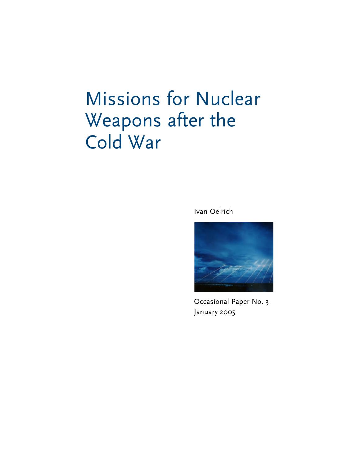## Missions for Nuclear Weapons after the Cold War

Ivan Oelrich



Occasional Paper No. 3 January 2005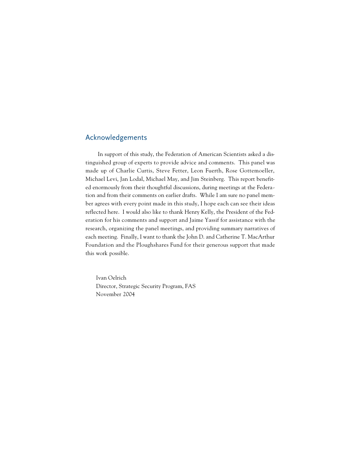#### Acknowledgements

In support of this study, the Federation of American Scientists asked a distinguished group of experts to provide advice and comments. This panel was made up of Charlie Curtis, Steve Fetter, Leon Fuerth, Rose Gottemoeller, Michael Levi, Jan Lodal, Michael May, and Jim Steinberg. This report benefited enormously from their thoughtful discussions, during meetings at the Federation and from their comments on earlier drafts. While I am sure no panel member agrees with every point made in this study, I hope each can see their ideas reflected here. I would also like to thank Henry Kelly, the President of the Federation for his comments and support and Jaime Yassif for assistance with the research, organizing the panel meetings, and providing summary narratives of each meeting. Finally, I want to thank the John D. and Catherine T. MacArthur Foundation and the Ploughshares Fund for their generous support that made this work possible.

Ivan Oelrich Director, Strategic Security Program, FAS November 2004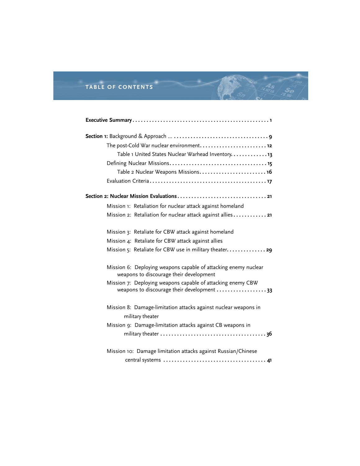### **TABLE OF CONTENTS**

| The post-Cold War nuclear environment 12                                                                   |
|------------------------------------------------------------------------------------------------------------|
| Table 1 United States Nuclear Warhead Inventory13                                                          |
|                                                                                                            |
| Table 2 Nuclear Weapons Missions 16                                                                        |
|                                                                                                            |
|                                                                                                            |
| Mission 1: Retaliation for nuclear attack against homeland                                                 |
| Mission 2: Retaliation for nuclear attack against allies 21                                                |
| Mission 3: Retaliate for CBW attack against homeland                                                       |
| Mission 4: Retaliate for CBW attack against allies                                                         |
| Mission 5: Retaliate for CBW use in military theater 29                                                    |
| Mission 6: Deploying weapons capable of attacking enemy nuclear<br>weapons to discourage their development |
| Mission 7: Deploying weapons capable of attacking enemy CBW<br>weapons to discourage their development 33  |
| Mission 8: Damage-limitation attacks against nuclear weapons in<br>military theater                        |
| Mission 9: Damage-limitation attacks against CB weapons in                                                 |
| Mission 10: Damage limitation attacks against Russian/Chinese                                              |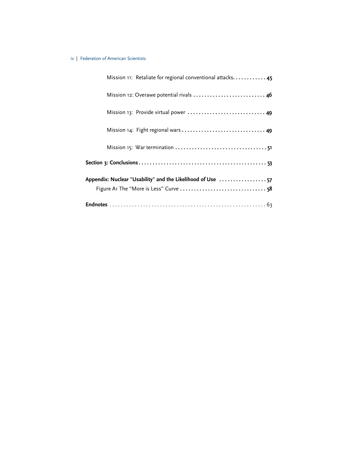| Mission 11: Retaliate for regional conventional attacks 45 |
|------------------------------------------------------------|
| Mission 12: Overawe potential rivals  46                   |
| Mission 13: Provide virtual power  49                      |
| Mission 14: Fight regional wars  49                        |
|                                                            |
|                                                            |
| Appendix: Nuclear "Usability" and the Likelihood of Use 57 |
|                                                            |
|                                                            |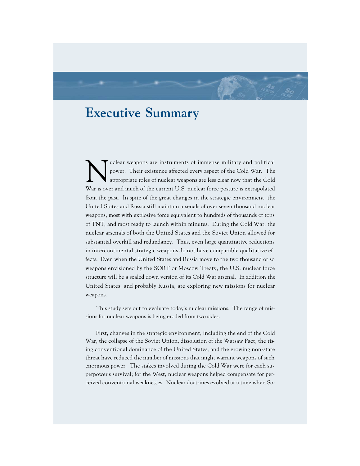

### **Executive Summary**

Nuclear weapons are instruments of immense military and political<br>power. Their existence affected every aspect of the Cold War. The<br>appropriate roles of nuclear weapons are less clear now that the Cold<br>War is appropriate o power. Their existence affected every aspect of the Cold War. The appropriate roles of nuclear weapons are less clear now that the Cold War is over and much of the current U.S. nuclear force posture is extrapolated from the past. In spite of the great changes in the strategic environment, the United States and Russia still maintain arsenals of over seven thousand nuclear weapons, most with explosive force equivalent to hundreds of thousands of tons of TNT, and most ready to launch within minutes. During the Cold War, the nuclear arsenals of both the United States and the Soviet Union allowed for substantial overkill and redundancy. Thus, even large quantitative reductions in intercontinental strategic weapons do not have comparable qualitative effects. Even when the United States and Russia move to the two thousand or so weapons envisioned by the SORT or Moscow Treaty, the U.S. nuclear force structure will be a scaled down version of its Cold War arsenal. In addition the United States, and probably Russia, are exploring new missions for nuclear weapons.

This study sets out to evaluate today's nuclear missions. The range of missions for nuclear weapons is being eroded from two sides.

First, changes in the strategic environment, including the end of the Cold War, the collapse of the Soviet Union, dissolution of the Warsaw Pact, the rising conventional dominance of the United States, and the growing non-state threat have reduced the number of missions that might warrant weapons of such enormous power. The stakes involved during the Cold War were for each superpower's survival; for the West, nuclear weapons helped compensate for perceived conventional weaknesses. Nuclear doctrines evolved at a time when So-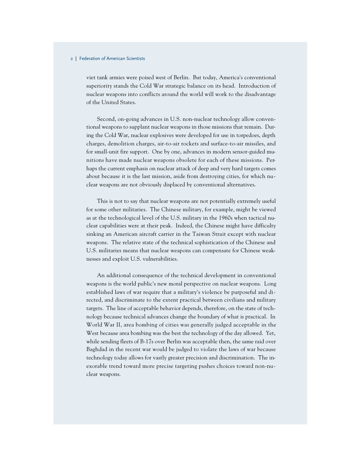viet tank armies were poised west of Berlin. But today, America's conventional superiority stands the Cold War strategic balance on its head. Introduction of nuclear weapons into conflicts around the world will work to the disadvantage of the United States.

Second, on-going advances in U.S. non-nuclear technology allow conventional weapons to supplant nuclear weapons in those missions that remain. During the Cold War, nuclear explosives were developed for use in torpedoes, depth charges, demolition charges, air-to-air rockets and surface-to-air missiles, and for small-unit fire support. One by one, advances in modern sensor-guided munitions have made nuclear weapons obsolete for each of these missions. Perhaps the current emphasis on nuclear attack of deep and very hard targets comes about because it is the last mission, aside from destroying cities, for which nuclear weapons are not obviously displaced by conventional alternatives.

This is not to say that nuclear weapons are not potentially extremely useful for some other militaries. The Chinese military, for example, might be viewed as at the technological level of the U.S. military in the 1960s when tactical nuclear capabilities were at their peak. Indeed, the Chinese might have difficulty sinking an American aircraft carrier in the Taiwan Strait except with nuclear weapons. The relative state of the technical sophistication of the Chinese and U.S. militaries means that nuclear weapons can compensate for Chinese weaknesses and exploit U.S. vulnerabilities.

An additional consequence of the technical development in conventional weapons is the world public's new moral perspective on nuclear weapons. Long established laws of war require that a military's violence be purposeful and directed, and discriminate to the extent practical between civilians and military targets. The line of acceptable behavior depends, therefore, on the state of technology because technical advances change the boundary of what is practical. In World War II, area bombing of cities was generally judged acceptable in the West because area bombing was the best the technology of the day allowed. Yet, while sending fleets of B-17s over Berlin was acceptable then, the same raid over Baghdad in the recent war would be judged to violate the laws of war because technology today allows for vastly greater precision and discrimination. The inexorable trend toward more precise targeting pushes choices toward non-nuclear weapons.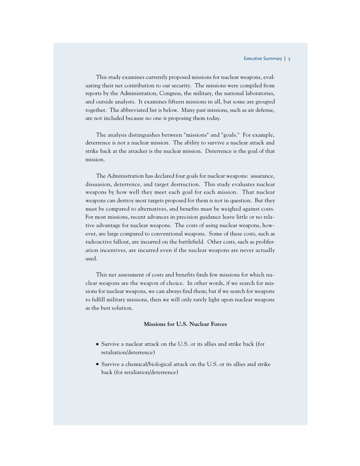This study examines currently proposed missions for nuclear weapons, evaluating their net contribution to our security. The missions were compiled from reports by the Administration, Congress, the military, the national laboratories, and outside analysts. It examines fifteen missions in all, but some are grouped together. The abbreviated list is below. Many past missions, such as air defense, are not included because no one is proposing them today.

The analysis distinguishes between "missions" and "goals." For example, deterrence is not a nuclear mission. The ability to survive a nuclear attack and strike back at the attacker is the nuclear mission. Deterrence is the goal of that mission.

The Administration has declared four goals for nuclear weapons: assurance, dissuasion, deterrence, and target destruction. This study evaluates nuclear weapons by how well they meet each goal for each mission. That nuclear weapons can destroy most targets proposed for them is not in question. But they must be compared to alternatives, and benefits must be weighed against costs. For most missions, recent advances in precision guidance leave little or no relative advantage for nuclear weapons. The costs of using nuclear weapons, however, are large compared to conventional weapons. Some of these costs, such as radioactive fallout, are incurred on the battlefield. Other costs, such as proliferation incentives, are incurred even if the nuclear weapons are never actually used.

This net assessment of costs and benefits finds few missions for which nuclear weapons are the weapon of choice. In other words, if we search for missions for nuclear weapons, we can always find them; but if we search for weapons to fulfill military missions, then we will only rarely light upon nuclear weapons as the best solution.

#### **Missions for U.S. Nuclear Forces**

- Survive a nuclear attack on the U.S. or its allies and strike back (for retaliation/deterrence)
- Survive a chemical/biological attack on the U.S. or its allies and strike back (for retaliation/deterrence)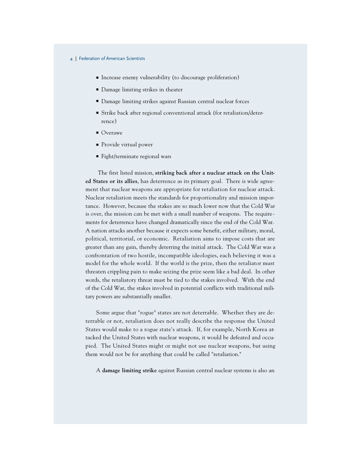- Increase enemy vulnerability (to discourage proliferation)
- Damage limiting strikes in theater
- Damage limiting strikes against Russian central nuclear forces
- Strike back after regional conventional attack (for retaliation/deterrence)
- Overawe
- **Provide virtual power**
- Fight/terminate regional wars

The first listed mission, **striking back after a nuclear attack on the United States or its allies**, has deterrence as its primary goal. There is wide agreement that nuclear weapons are appropriate for retaliation for nuclear attack. Nuclear retaliation meets the standards for proportionality and mission importance. However, because the stakes are so much lower now that the Cold War is over, the mission can be met with a small number of weapons. The requirements for deterrence have changed dramatically since the end of the Cold War. A nation attacks another because it expects some benefit, either military, moral, political, territorial, or economic. Retaliation aims to impose costs that are greater than any gain, thereby deterring the initial attack. The Cold War was a confrontation of two hostile, incompatible ideologies, each believing it was a model for the whole world. If the world is the prize, then the retaliator must threaten crippling pain to make seizing the prize seem like a bad deal. In other words, the retaliatory threat must be tied to the stakes involved. With the end of the Cold War, the stakes involved in potential conflicts with traditional military powers are substantially smaller.

Some argue that "rogue" states are not deterrable. Whether they are deterrable or not, retaliation does not really describe the response the United States would make to a rogue state's attack. If, for example, North Korea attacked the United States with nuclear weapons, it would be defeated and occupied. The United States might or might not use nuclear weapons, but using them would not be for anything that could be called "retaliation."

A **damage limiting strike** against Russian central nuclear systems is also an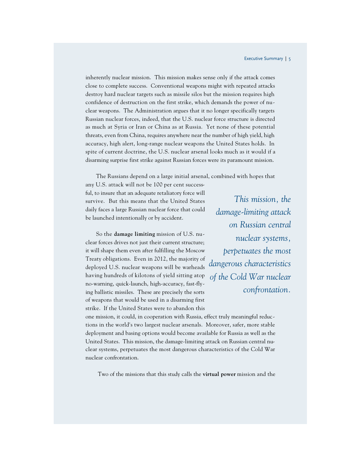inherently nuclear mission. This mission makes sense only if the attack comes close to complete success. Conventional weapons might with repeated attacks destroy hard nuclear targets such as missile silos but the mission requires high confidence of destruction on the first strike, which demands the power of nuclear weapons. The Administration argues that it no longer specifically targets Russian nuclear forces, indeed, that the U.S. nuclear force structure is directed as much at Syria or Iran or China as at Russia. Yet none of these potential threats, even from China, requires anywhere near the number of high yield, high accuracy, high alert, long-range nuclear weapons the United States holds. In spite of current doctrine, the U.S. nuclear arsenal looks much as it would if a disarming surprise first strike against Russian forces were its paramount mission.

The Russians depend on a large initial arsenal, combined with hopes that

any U.S. attack will not be 100 per cent successful, to insure that an adequate retaliatory force will survive. But this means that the United States daily faces a large Russian nuclear force that could be launched intentionally or by accident.

So the **damage limiting** mission of U.S. nuclear forces drives not just their current structure; it will shape them even after fulfilling the Moscow Treaty obligations. Even in 2012, the majority of deployed U.S. nuclear weapons will be warheads having hundreds of kilotons of yield sitting atop no-warning, quick-launch, high-accuracy, fast-flying ballistic missiles. These are precisely the sorts of weapons that would be used in a disarming first strike. If the United States were to abandon this

*This mission, the damage-limiting attack on Russian central nuclear systems, perpetuates the most dangerous characteristics of the Cold War nuclear confrontation.*

one mission, it could, in cooperation with Russia, effect truly meaningful reductions in the world's two largest nuclear arsenals. Moreover, safer, more stable deployment and basing options would become available for Russia as well as the United States. This mission, the damage-limiting attack on Russian central nuclear systems, perpetuates the most dangerous characteristics of the Cold War nuclear confrontation.

Two of the missions that this study calls the **virtual power** mission and the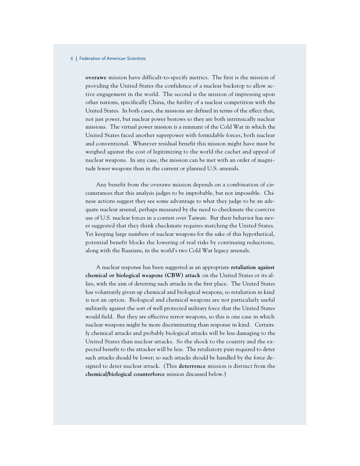**overawe** mission have difficult-to-specify metrics. The first is the mission of providing the United States the confidence of a nuclear backstop to allow active engagement in the world. The second is the mission of impressing upon other nations, specifically China, the futility of a nuclear competition with the United States. In both cases, the missions are defined in terms of the effect that, not just power, but nuclear power bestows so they are both intrinsically nuclear missions. The virtual power mission is a remnant of the Cold War in which the United States faced another superpower with formidable forces, both nuclear and conventional. Whatever residual benefit this mission might have must be weighed against the cost of legitimizing to the world the cachet and appeal of nuclear weapons. In any case, the mission can be met with an order of magnitude fewer weapons than in the current or planned U.S. arsenals.

Any benefit from the overawe mission depends on a combination of circumstances that this analysis judges to be improbable, but not impossible. Chinese actions suggest they see some advantage to what they judge to be an adequate nuclear arsenal, perhaps measured by the need to checkmate the coercive use of U.S. nuclear forces in a contest over Taiwan. But their behavior has never suggested that they think checkmate requires matching the United States. Yet keeping large numbers of nuclear weapons for the sake of this hypothetical, potential benefit blocks the lowering of real risks by continuing reductions, along with the Russians, in the world's two Cold War legacy arsenals.

A nuclear response has been suggested as an appropriate **retaliation against chemical or biological weapons (CBW) attack** on the United States or its allies, with the aim of deterring such attacks in the first place. The United States has voluntarily given up chemical and biological weapons, so retaliation in kind is not an option. Biological and chemical weapons are not particularly useful militarily against the sort of well protected military force that the United States would field. But they are effective terror weapons, so this is one case in which nuclear weapons might be more discriminating than response in kind. Certainly chemical attacks and probably biological attacks will be less damaging to the United States than nuclear attacks. So the shock to the country and the expected benefit to the attacker will be less. The retaliatory pain required to deter such attacks should be lower; so such attacks should be handled by the force designed to deter nuclear attack. (This **deterrence** mission is distinct from the **chemical/biological counterforce** mission discussed below.)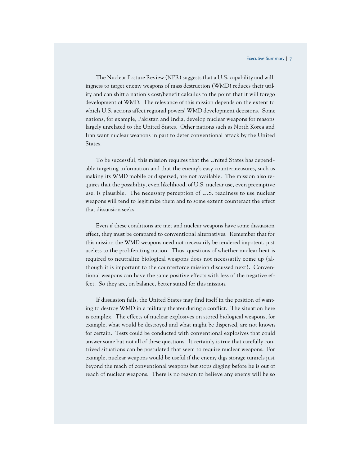The Nuclear Posture Review (NPR) suggests that a U.S. capability and willingness to target enemy weapons of mass destruction (WMD) reduces their utility and can shift a nation's cost/benefit calculus to the point that it will forego development of WMD. The relevance of this mission depends on the extent to which U.S. actions affect regional powers' WMD development decisions. Some nations, for example, Pakistan and India, develop nuclear weapons for reasons largely unrelated to the United States. Other nations such as North Korea and Iran want nuclear weapons in part to deter conventional attack by the United States.

To be successful, this mission requires that the United States has dependable targeting information and that the enemy's easy countermeasures, such as making its WMD mobile or dispersed, are not available. The mission also requires that the possibility, even likelihood, of U.S. nuclear use, even preemptive use, is plausible. The necessary perception of U.S. readiness to use nuclear weapons will tend to legitimize them and to some extent counteract the effect that dissuasion seeks.

Even if these conditions are met and nuclear weapons have some dissuasion effect, they must be compared to conventional alternatives. Remember that for this mission the WMD weapons need not necessarily be rendered impotent, just useless to the proliferating nation. Thus, questions of whether nuclear heat is required to neutralize biological weapons does not necessarily come up (although it is important to the counterforce mission discussed next). Conventional weapons can have the same positive effects with less of the negative effect. So they are, on balance, better suited for this mission.

If dissuasion fails, the United States may find itself in the position of wanting to destroy WMD in a military theater during a conflict. The situation here is complex. The effects of nuclear explosives on stored biological weapons, for example, what would be destroyed and what might be dispersed, are not known for certain. Tests could be conducted with conventional explosives that could answer some but not all of these questions. It certainly is true that carefully contrived situations can be postulated that seem to require nuclear weapons. For example, nuclear weapons would be useful if the enemy digs storage tunnels just beyond the reach of conventional weapons but stops digging before he is out of reach of nuclear weapons. There is no reason to believe any enemy will be so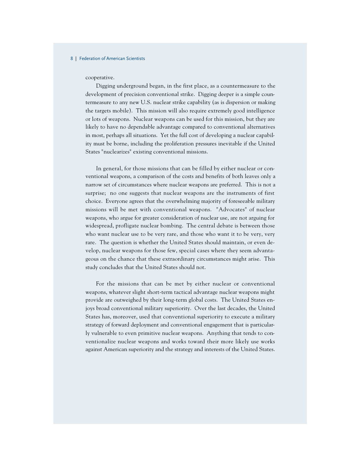cooperative.

Digging underground began, in the first place, as a countermeasure to the development of precision conventional strike. Digging deeper is a simple countermeasure to any new U.S. nuclear strike capability (as is dispersion or making the targets mobile). This mission will also require extremely good intelligence or lots of weapons. Nuclear weapons can be used for this mission, but they are likely to have no dependable advantage compared to conventional alternatives in most, perhaps all situations. Yet the full cost of developing a nuclear capability must be borne, including the proliferation pressures inevitable if the United States "nuclearizes" existing conventional missions.

In general, for those missions that can be filled by either nuclear or conventional weapons, a comparison of the costs and benefits of both leaves only a narrow set of circumstances where nuclear weapons are preferred. This is not a surprise; no one suggests that nuclear weapons are the instruments of first choice. Everyone agrees that the overwhelming majority of foreseeable military missions will be met with conventional weapons. "Advocates" of nuclear weapons, who argue for greater consideration of nuclear use, are not arguing for widespread, profligate nuclear bombing. The central debate is between those who want nuclear use to be very rare, and those who want it to be very, very rare. The question is whether the United States should maintain, or even develop, nuclear weapons for those few, special cases where they seem advantageous on the chance that these extraordinary circumstances might arise. This study concludes that the United States should not.

For the missions that can be met by either nuclear or conventional weapons, whatever slight short-term tactical advantage nuclear weapons might provide are outweighed by their long-term global costs. The United States enjoys broad conventional military superiority. Over the last decades, the United States has, moreover, used that conventional superiority to execute a military strategy of forward deployment and conventional engagement that is particularly vulnerable to even primitive nuclear weapons. Anything that tends to conventionalize nuclear weapons and works toward their more likely use works against American superiority and the strategy and interests of the United States.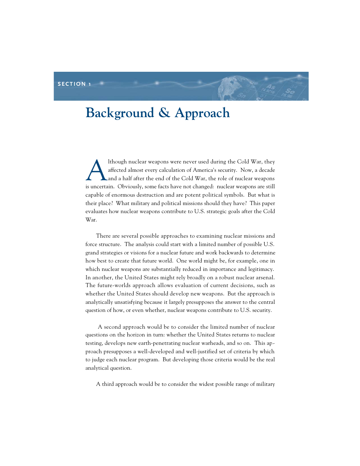#### **SECTION 1**

## **Background & Approach**

lthough nuclear weapons were never used during the Cold War, they affected almost every calculation of America's security. Now, a decade and a half after the end of the Cold War, the role of nuclear weapons is uncertain. Obviously, some facts have not changed: nuclear weapons are still capable of enormous destruction and are potent political symbols. But what is their place? What military and political missions should they have? This paper evaluates how nuclear weapons contribute to U.S. strategic goals after the Cold War.

There are several possible approaches to examining nuclear missions and force structure. The analysis could start with a limited number of possible U.S. grand strategies or visions for a nuclear future and work backwards to determine how best to create that future world. One world might be, for example, one in which nuclear weapons are substantially reduced in importance and legitimacy. In another, the United States might rely broadly on a robust nuclear arsenal. The future-worlds approach allows evaluation of current decisions, such as whether the United States should develop new weapons. But the approach is analytically unsatisfying because it largely presupposes the answer to the central question of how, or even whether, nuclear weapons contribute to U.S. security.

A second approach would be to consider the limited number of nuclear questions on the horizon in turn: whether the United States returns to nuclear testing, develops new earth-penetrating nuclear warheads, and so on. This approach presupposes a well-developed and well-justified set of criteria by which to judge each nuclear program. But developing those criteria would be the real analytical question.

A third approach would be to consider the widest possible range of military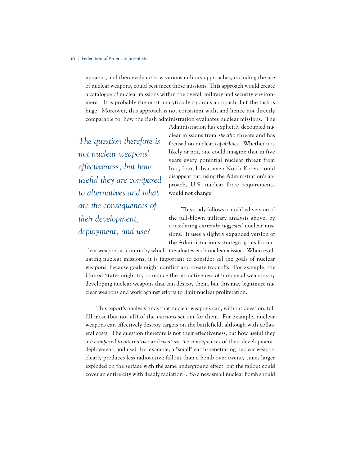missions, and then evaluate how various military approaches, including the use of nuclear weapons, could best meet those missions. This approach would create a catalogue of nuclear missions within the overall military and security environment. It is probably the most analytically rigorous approach, but the task is huge. Moreover, this approach is not consistent with, and hence not directly comparable to, how the Bush administration evaluates nuclear missions. The

*The question therefore is not nuclear weapons' effectiveness, but how useful they are compared to alternatives and what are the consequences of their development, deployment, and use?*

Administration has explicitly decoupled nuclear missions from *specific* threats and has focused on nuclear *capabilities*. Whether it is likely or not, one could imagine that in five years every potential nuclear threat from Iraq, Iran, Libya, even North Korea, could disappear but, using the Administration's approach, U.S. nuclear force requirements would not change.

This study follows a modified version of the full-blown military analysis above, by considering *currently suggested* nuclear missions. It uses a slightly expanded version of the Administration's strategic goals for nu-

clear weapons as criteria by which it evaluates each nuclear *mission*. When evaluating nuclear missions, it is important to consider *all* the goals of nuclear weapons, because goals might conflict and create tradeoffs. For example, the United States might try to reduce the attractiveness of biological weapons by developing nuclear weapons that can destroy them, but this may legitimize nuclear weapons and work against efforts to limit nuclear proliferation.

This report's analysis finds that nuclear weapons can, without question, fulfill most (but not all) of the *missions* set out for them. For example, nuclear weapons can effectively destroy targets on the battlefield, although with collateral costs. The question therefore is not their effectiveness, but how useful they are *compared to alternatives* and *what are the consequences* of their development, deployment, and use? For example, a "small" earth-penetrating nuclear weapon clearly produces less radioactive fallout than a bomb over twenty times larger exploded on the surface with the same underground effect; but the fallout could cover an entire city with deadly radiation<sup>[1]</sup>. So a new small nuclear bomb should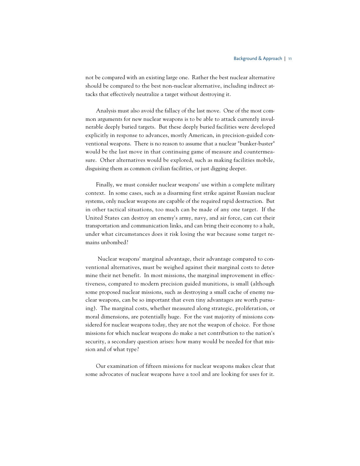not be compared with an existing large one. Rather the best nuclear alternative should be compared to the best non-nuclear alternative, including indirect attacks that effectively neutralize a target without destroying it.

Analysis must also avoid the fallacy of the last move. One of the most common arguments for new nuclear weapons is to be able to attack currently invulnerable deeply buried targets. But these deeply buried facilities were developed explicitly in response to advances, mostly American, in precision-guided conventional weapons. There is no reason to assume that a nuclear "bunker-buster" would be the last move in that continuing game of measure and countermeasure. Other alternatives would be explored, such as making facilities mobile, disguising them as common civilian facilities, or just digging deeper.

Finally, we must consider nuclear weapons' use within a complete military context. In some cases, such as a disarming first strike against Russian nuclear systems, only nuclear weapons are capable of the required rapid destruction. But in other tactical situations, too much can be made of any one target. If the United States can destroy an enemy's army, navy, and air force, can cut their transportation and communication links, and can bring their economy to a halt, under what circumstances does it risk losing the war because some target remains unbombed?

Nuclear weapons' marginal advantage, their advantage compared to conventional alternatives, must be weighed against their marginal costs to determine their net benefit. In most missions, the marginal improvement in effectiveness, compared to modern precision guided munitions, is small (although some proposed nuclear missions, such as destroying a small cache of enemy nuclear weapons, can be so important that even tiny advantages are worth pursuing). The marginal costs, whether measured along strategic, proliferation, or moral dimensions, are potentially huge. For the vast majority of missions considered for nuclear weapons today, they are not the weapon of choice. For those missions for which nuclear weapons do make a net contribution to the nation's security, a secondary question arises: how many would be needed for that mission and of what type?

Our examination of fifteen missions for nuclear weapons makes clear that some advocates of nuclear weapons have a tool and are looking for uses for it.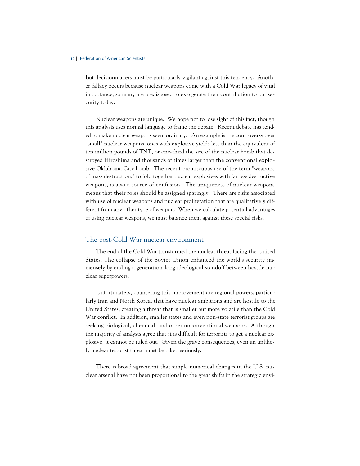But decisionmakers must be particularly vigilant against this tendency. Another fallacy occurs because nuclear weapons come with a Cold War legacy of vital importance, so many are predisposed to exaggerate their contribution to our security today.

Nuclear weapons are unique. We hope not to lose sight of this fact, though this analysis uses normal language to frame the debate. Recent debate has tended to make nuclear weapons seem ordinary. An example is the controversy over "small" nuclear weapons, ones with explosive yields less than the equivalent of ten million pounds of TNT, or one-third the size of the nuclear bomb that destroyed Hiroshima and thousands of times larger than the conventional explosive Oklahoma City bomb. The recent promiscuous use of the term "weapons of mass destruction," to fold together nuclear explosives with far less destructive weapons, is also a source of confusion. The uniqueness of nuclear weapons means that their roles should be assigned sparingly. There are risks associated with use of nuclear weapons and nuclear proliferation that are qualitatively different from any other type of weapon. When we calculate potential advantages of using nuclear weapons, we must balance them against these special risks.

#### The post-Cold War nuclear environment

The end of the Cold War transformed the nuclear threat facing the United States. The collapse of the Soviet Union enhanced the world's security immensely by ending a generation-long ideological standoff between hostile nuclear superpowers.

Unfortunately, countering this improvement are regional powers, particularly Iran and North Korea, that have nuclear ambitions and are hostile to the United States, creating a threat that is smaller but more volatile than the Cold War conflict. In addition, smaller states and even non-state terrorist groups are seeking biological, chemical, and other unconventional weapons. Although the majority of analysts agree that it is difficult for terrorists to get a nuclear explosive, it cannot be ruled out. Given the grave consequences, even an unlikely nuclear terrorist threat must be taken seriously.

There is broad agreement that simple numerical changes in the U.S. nuclear arsenal have not been proportional to the great shifts in the strategic envi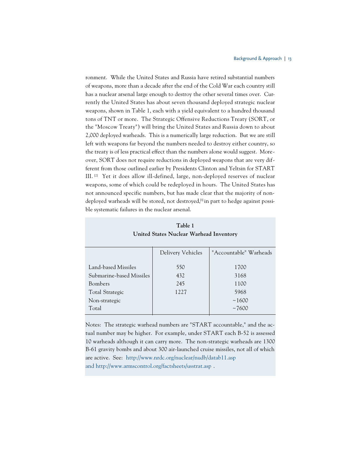ronment. While the United States and Russia have retired substantial numbers of weapons, more than a decade after the end of the Cold War each country still has a nuclear arsenal large enough to destroy the other several times over. Currently the United States has about seven thousand deployed strategic nuclear weapons, shown in Table 1, each with a yield equivalent to a hundred thousand tons of TNT or more. The Strategic Offensive Reductions Treaty (SORT, or the "Moscow Treaty") will bring the United States and Russia down to about 2,000 deployed warheads. This is a numerically large reduction. But we are still left with weapons far beyond the numbers needed to destroy either country, so the treaty is of less practical effect than the numbers alone would suggest. Moreover, SORT does not require reductions in deployed weapons that are very different from those outlined earlier by Presidents Clinton and Yeltsin for START III. [2] Yet it does allow ill-defined, large, non-deployed reserves of nuclear weapons, some of which could be redeployed in hours. The United States has not announced specific numbers, but has made clear that the majority of nondeployed warheads will be stored, not destroyed,<sup>[3]</sup> in part to hedge against possible systematic failures in the nuclear arsenal.

| Chilea Claics Fracteal Warneau Inventory                                                                       |                           |                                                |  |
|----------------------------------------------------------------------------------------------------------------|---------------------------|------------------------------------------------|--|
|                                                                                                                | Delivery Vehicles         | "Accountable" Warheads                         |  |
| Land-based Missiles<br>Submarine-based Missiles<br>Bombers<br><b>Total Strategic</b><br>Non-strategic<br>Total | 550<br>432<br>245<br>1227 | 1700<br>3168<br>1100<br>5968<br>~1600<br>~1000 |  |

**Table 1 United States Nuclear Warhead Inventory**

Notes: The strategic warhead numbers are "START accountable," and the actual number may be higher. For example, under START each B-52 is assessed 10 warheads although it can carry more. The non-strategic warheads are 1300 B-61 gravity bombs and about 300 air-launched cruise missiles, not all of which are active. See: http://www.nrdc.org/nuclear/nudb/datab11.asp and http://www.armscontrol.org/factsheets/usstrat.asp .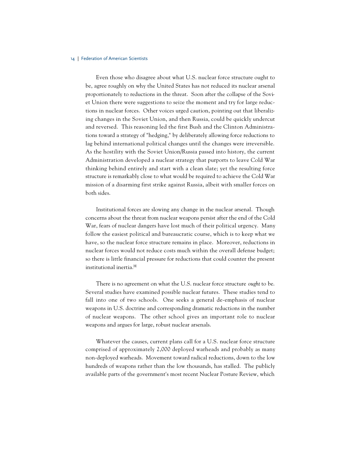Even those who disagree about what U.S. nuclear force structure ought to be, agree roughly on why the United States has not reduced its nuclear arsenal proportionately to reductions in the threat. Soon after the collapse of the Soviet Union there were suggestions to seize the moment and try for large reductions in nuclear forces. Other voices urged caution, pointing out that liberalizing changes in the Soviet Union, and then Russia, could be quickly undercut and reversed. This reasoning led the first Bush and the Clinton Administrations toward a strategy of "hedging," by deliberately allowing force reductions to lag behind international political changes until the changes were irreversible. As the hostility with the Soviet Union/Russia passed into history, the current Administration developed a nuclear strategy that purports to leave Cold War thinking behind entirely and start with a clean slate; yet the resulting force structure is remarkably close to what would be required to achieve the Cold War mission of a disarming first strike against Russia, albeit with smaller forces on both sides.

Institutional forces are slowing any change in the nuclear arsenal. Though concerns about the threat from nuclear weapons persist after the end of the Cold War, fears of nuclear dangers have lost much of their political urgency. Many follow the easiest political and bureaucratic course, which is to keep what we have, so the nuclear force structure remains in place. Moreover, reductions in nuclear forces would not reduce costs much within the overall defense budget; so there is little financial pressure for reductions that could counter the present institutional inertia.<sup>[4]</sup>

There is no agreement on what the U.S. nuclear force structure *ought* to be. Several studies have examined possible nuclear futures. These studies tend to fall into one of two schools. One seeks a general de-emphasis of nuclear weapons in U.S. doctrine and corresponding dramatic reductions in the number of nuclear weapons. The other school gives an important role to nuclear weapons and argues for large, robust nuclear arsenals.

Whatever the causes, current plans call for a U.S. nuclear force structure comprised of approximately 2,000 deployed warheads and probably as many non-deployed warheads. Movement toward radical reductions, down to the low hundreds of weapons rather than the low thousands, has stalled. The publicly available parts of the government's most recent Nuclear Posture Review, which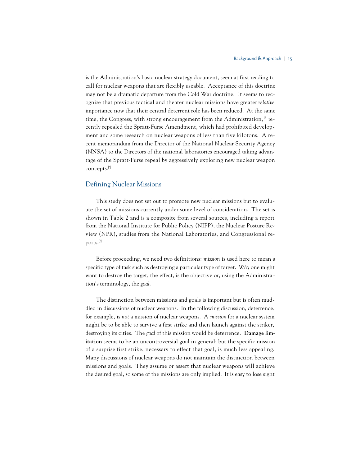is the Administration's basic nuclear strategy document, seem at first reading to call for nuclear weapons that are flexibly useable. Acceptance of this doctrine may not be a dramatic departure from the Cold War doctrine. It seems to recognize that previous tactical and theater nuclear missions have greater *relative* importance now that their central deterrent role has been reduced. At the same time, the Congress, with strong encouragement from the Administration,  $[5]$  recently repealed the Spratt-Furse Amendment, which had prohibited development and some research on nuclear weapons of less than five kilotons. A recent memorandum from the Director of the National Nuclear Security Agency (NNSA) to the Directors of the national laboratories encouraged taking advantage of the Spratt-Furse repeal by aggressively exploring new nuclear weapon concepts.<sup>[6]</sup>

#### Defining Nuclear Missions

This study does not set out to promote new nuclear missions but to evaluate the set of missions currently under some level of consideration. The set is shown in Table 2 and is a composite from several sources, including a report from the National Institute for Public Policy (NIPP), the Nuclear Posture Review (NPR), studies from the National Laboratories, and Congressional reports.[7]

Before proceeding, we need two definitions: *mission* is used here to mean a specific type of task such as destroying a particular type of target. *Why* one might want to destroy the target, the effect, is the objective or, using the Administration's terminology, the *goal*.

The distinction between missions and goals is important but is often muddled in discussions of nuclear weapons. In the following discussion, deterrence, for example, is *not* a mission of nuclear weapons. A *mission* for a nuclear system might be to be able to survive a first strike and then launch against the striker, destroying its cities. The *goal* of this mission would be deterrence. **Damage limitation** seems to be an uncontroversial goal in general; but the specific mission of a surprise first strike, necessary to effect that goal, is much less appealing. Many discussions of nuclear weapons do not maintain the distinction between missions and goals. They assume or assert that nuclear weapons will achieve the desired goal, so some of the missions are only implied. It is easy to lose sight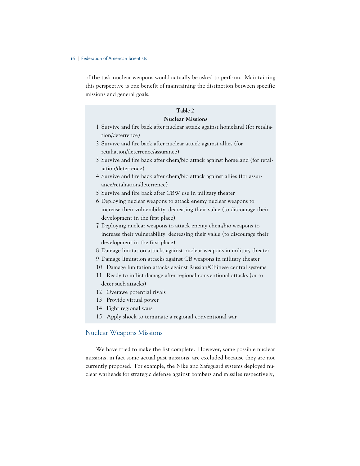of the task nuclear weapons would actually be asked to perform. Maintaining this perspective is one benefit of maintaining the distinction between specific missions and general goals.

### **Table 2 Nuclear Missions** 1 Survive and fire back after nuclear attack against homeland (for retaliation/deterrence) 2 Survive and fire back after nuclear attack against allies (for retaliation/deterrence/assurance) 3 Survive and fire back after chem/bio attack against homeland (for retaliation/deterrence)

4 Survive and fire back after chem/bio attack against allies (for assurance/retaliation/deterrence)

- 5 Survive and fire back after CBW use in military theater
- 6 Deploying nuclear weapons to attack enemy nuclear weapons to increase their vulnerability, decreasing their value (to discourage their development in the first place)
- 7 Deploying nuclear weapons to attack enemy chem/bio weapons to increase their vulnerability, decreasing their value (to discourage their development in the first place)
- 8 Damage limitation attacks against nuclear weapons in military theater
- 9 Damage limitation attacks against CB weapons in military theater
- 10 Damage limitation attacks against Russian/Chinese central systems
- 11 Ready to inflict damage after regional conventional attacks (or to deter such attacks)
- 12 Overawe potential rivals
- 13 Provide virtual power
- 14 Fight regional wars
- 15 Apply shock to terminate a regional conventional war

#### Nuclear Weapons Missions

We have tried to make the list complete. However, some possible nuclear missions, in fact some actual past missions, are excluded because they are not currently proposed. For example, the Nike and Safeguard systems deployed nuclear warheads for strategic defense against bombers and missiles respectively,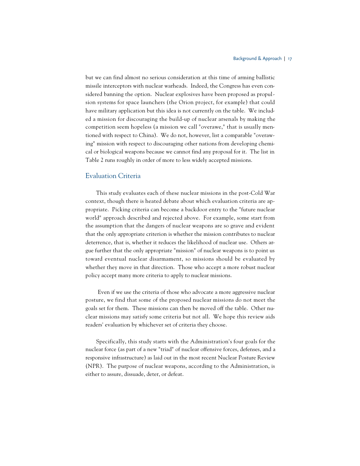but we can find almost no serious consideration at this time of arming ballistic missile interceptors with nuclear warheads. Indeed, the Congress has even considered banning the option. Nuclear explosives have been proposed as propulsion systems for space launchers (the Orion project, for example) that could have military application but this idea is not currently on the table. We included a mission for discouraging the build-up of nuclear arsenals by making the competition seem hopeless (a mission we call "overawe," that is usually mentioned with respect to China). We do not, however, list a comparable "overawing" mission with respect to discouraging other nations from developing chemical or biological weapons because we cannot find any proposal for it. The list in Table 2 runs roughly in order of more to less widely accepted missions.

#### Evaluation Criteria

This study evaluates each of these nuclear missions in the post-Cold War context, though there is heated debate about which evaluation criteria are appropriate. Picking criteria can become a backdoor entry to the "future nuclear world" approach described and rejected above. For example, some start from the assumption that the dangers of nuclear weapons are so grave and evident that the only appropriate criterion is whether the mission contributes to nuclear deterrence, that is, whether it reduces the likelihood of nuclear use. Others argue further that the only appropriate "mission" of nuclear weapons is to point us toward eventual nuclear disarmament, so missions should be evaluated by whether they move in that direction. Those who accept a more robust nuclear policy accept many more criteria to apply to nuclear missions.

Even if we use the criteria of those who advocate a more aggressive nuclear posture, we find that some of the proposed nuclear missions do not meet the goals set for them. These missions can then be moved off the table. Other nuclear missions may satisfy some criteria but not all. We hope this review aids readers' evaluation by whichever set of criteria they choose.

Specifically, this study starts with the Administration's four goals for the nuclear force (as part of a new "triad" of nuclear offensive forces, defenses, and a responsive infrastructure) as laid out in the most recent Nuclear Posture Review (NPR). The purpose of nuclear weapons, according to the Administration, is either to assure, dissuade, deter, or defeat.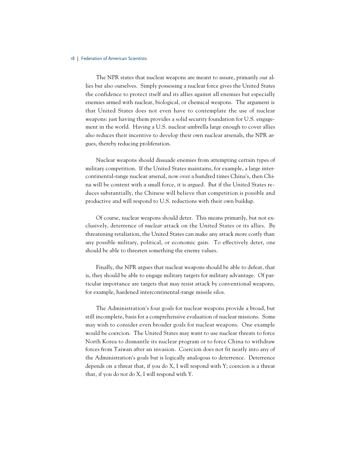The NPR states that nuclear weapons are meant to assure, primarily our allies but also ourselves. Simply possessing a nuclear force gives the United States the confidence to protect itself and its allies against all enemies but especially enemies armed with nuclear, biological, or chemical weapons. The argument is that United States does not even have to contemplate the use of nuclear weapons: just having them provides a solid security foundation for U.S. engagement in the world. Having a U.S. nuclear umbrella large enough to cover allies also reduces their incentive to develop their own nuclear arsenals, the NPR argues, thereby reducing proliferation.

Nuclear weapons should dissuade enemies from attempting certain types of military competition. If the United States maintains, for example, a large intercontinental-range nuclear arsenal, now over a hundred times China's, then China will be content with a small force, it is argued. But if the United States reduces substantially, the Chinese will believe that competition is possible and productive and will respond to U.S. reductions with their own buildup.

Of course, nuclear weapons should deter. This means primarily, but not exclusively, deterrence of *nuclear* attack on the United States or its allies. By threatening retaliation, the United States can make any attack more costly than any possible military, political, or economic gain. To effectively deter, one should be able to threaten something the enemy values.

Finally, the NPR argues that nuclear weapons should be able to defeat, that is, they should be able to engage military targets for military advantage. Of particular importance are targets that may resist attack by conventional weapons, for example, hardened intercontinental-range missile silos.

The Administration's four goals for nuclear weapons provide a broad, but still incomplete, basis for a comprehensive evaluation of nuclear missions. Some may wish to consider even broader goals for nuclear weapons. One example would be coercion. The United States may want to use nuclear threats to force North Korea to dismantle its nuclear program or to force China to withdraw forces from Taiwan after an invasion. Coercion does not fit neatly into any of the Administration's goals but is logically analogous to deterrence. Deterrence depends on a threat that, if you do X, I will respond with Y; coercion is a threat that, if you do *not* do X, I will respond with Y.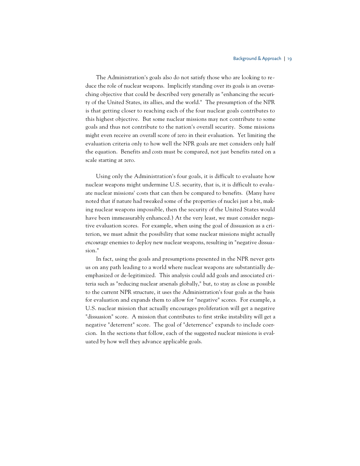The Administration's goals also do not satisfy those who are looking to reduce the role of nuclear weapons. Implicitly standing over its goals is an overarching objective that could be described very generally as "enhancing the security of the United States, its allies, and the world." The presumption of the NPR is that getting closer to reaching each of the four nuclear goals contributes to this highest objective. But some nuclear missions may not contribute to some goals and thus not contribute to the nation's overall security. Some missions might even receive an overall score of zero in their evaluation. Yet limiting the evaluation criteria only to how well the NPR goals are met considers only half the equation. Benefits and *costs* must be compared, not just benefits rated on a scale starting at zero.

Using only the Administration's four goals, it is difficult to evaluate how nuclear weapons might undermine U.S. security, that is, it is difficult to evaluate nuclear missions' costs that can then be compared to benefits. (Many have noted that if nature had tweaked some of the properties of nuclei just a bit, making nuclear weapons impossible, then the security of the United States would have been immeasurably enhanced.) At the very least, we must consider negative evaluation scores. For example, when using the goal of dissuasion as a criterion, we must admit the possibility that some nuclear missions might actually *encourage* enemies to deploy new nuclear weapons, resulting in "negative dissuasion."

In fact, using the goals and presumptions presented in the NPR never gets us on any path leading to a world where nuclear weapons are substantially deemphasized or de-legitimized. This analysis could add goals and associated criteria such as "reducing nuclear arsenals globally," but, to stay as close as possible to the current NPR structure, it uses the Administration's four goals as the basis for evaluation and expands them to allow for "negative" scores. For example, a U.S. nuclear mission that actually encourages proliferation will get a negative "dissuasion" score. A mission that contributes to first strike instability will get a negative "deterrent" score. The goal of "deterrence" expands to include coercion. In the sections that follow, each of the suggested nuclear missions is evaluated by how well they advance applicable goals.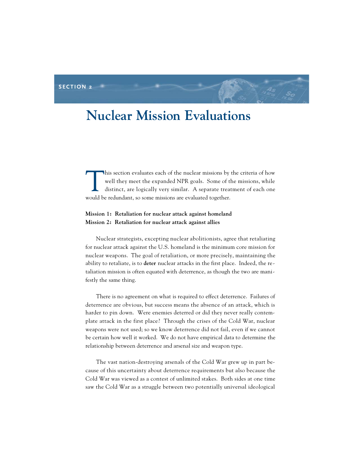#### **SECTION 2**

## **Nuclear Mission Evaluations**

This section evaluates each of the nuclear missions by the criteria of how well they meet the expanded NPR goals. Some of the missions, while distinct, are logically very similar. A separate treatment of each one much be n well they meet the expanded NPR goals. Some of the missions, while distinct, are logically very similar. A separate treatment of each one would be redundant, so some missions are evaluated together.

#### **Mission 1: Retaliation for nuclear attack against homeland Mission 2: Retaliation for nuclear attack against allies**

Nuclear strategists, excepting nuclear abolitionists, agree that retaliating for nuclear attack against the U.S. homeland is the minimum core mission for nuclear weapons. The goal of retaliation, or more precisely, maintaining the ability to retaliate, is to **deter** nuclear attacks in the first place. Indeed, the retaliation mission is often equated with deterrence, as though the two are manifestly the same thing.

There is no agreement on what is required to effect deterrence. Failures of deterrence are obvious, but success means the absence of an attack, which is harder to pin down. Were enemies deterred or did they never really contemplate attack in the first place? Through the crises of the Cold War, nuclear weapons were not used; so we know deterrence did not fail, even if we cannot be certain how well it worked. We do not have empirical data to determine the relationship between deterrence and arsenal size and weapon type.

The vast nation-destroying arsenals of the Cold War grew up in part because of this uncertainty about deterrence requirements but also because the Cold War was viewed as a contest of unlimited stakes. Both sides at one time saw the Cold War as a struggle between two potentially universal ideological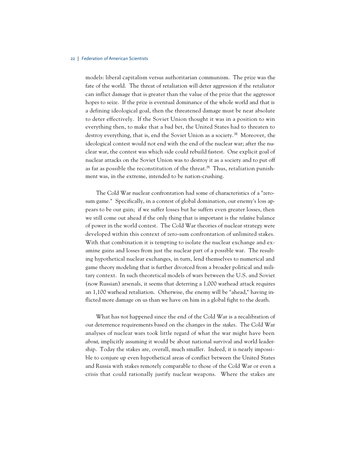models: liberal capitalism versus authoritarian communism. The prize was the fate of the world. The threat of retaliation will deter aggression if the retaliator can inflict damage that is greater than the value of the prize that the aggressor hopes to seize. If the prize is eventual dominance of the whole world and that is a defining ideological goal, then the threatened damage must be near absolute to deter effectively. If the Soviet Union thought it was in a position to win everything then, to make that a bad bet, the United States had to threaten to destroy everything, that is, end the Soviet Union as a society.<sup>[8]</sup> Moreover, the ideological contest would not end with the end of the nuclear war; after the nuclear war, the contest was which side could rebuild fastest. One explicit goal of nuclear attacks on the Soviet Union was to destroy it as a society and to put off as far as possible the reconstitution of the threat. $[9]$  Thus, retaliation punishment was, in the extreme, intended to be nation-crushing.

The Cold War nuclear confrontation had some of characteristics of a "zerosum game." Specifically, in a contest of global domination, our enemy's loss appears to be our gain; if we suffer losses but he suffers even greater losses, then we still come out ahead if the only thing that is important is the *relative* balance of power in the world contest. The Cold War theories of nuclear strategy were developed within this context of zero-sum confrontation of unlimited stakes. With that combination it is tempting to isolate the nuclear exchange and examine gains and losses from just the nuclear part of a possible war. The resulting hypothetical nuclear exchanges, in turn, lend themselves to numerical and game theory modeling that is further divorced from a broader political and military context. In such theoretical models of wars between the U.S. and Soviet (now Russian) arsenals, it seems that deterring a 1,000 warhead attack requires an 1,100 warhead retaliation. Otherwise, the enemy will be "ahead," having inflicted more damage on us than we have on him in a global fight to the death.

What has *not* happened since the end of the Cold War is a recalibration of our deterrence requirements based on the changes in the *stakes*. The Cold War analyses of nuclear wars took little regard of what the war might have been *about*, implicitly assuming it would be about national survival and world leadership. Today the stakes are, overall, much smaller. Indeed, it is nearly impossible to conjure up even hypothetical areas of conflict between the United States and Russia with stakes remotely comparable to those of the Cold War or even a crisis that could rationally justify nuclear weapons. Where the stakes are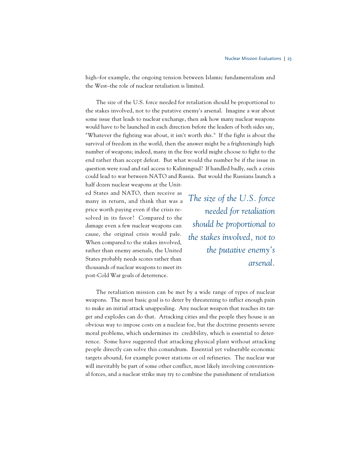high–for example, the ongoing tension between Islamic fundamentalism and the West–the role of nuclear retaliation is limited.

The size of the U.S. force needed for retaliation should be proportional to the stakes involved, not to the putative enemy's arsenal. Imagine a war about some issue that leads to nuclear exchange, then ask how many nuclear weapons would have to be launched in each direction before the leaders of both sides say, "Whatever the fighting was about, it isn't worth *this*." If the fight is about the survival of freedom in the world, then the answer might be a frighteningly high number of weapons; indeed, many in the free world might choose to fight to the end rather than accept defeat. But what would the number be if the issue in question were road and rail access to Kaliningrad? If handled badly, such a crisis could lead to war between NATO and Russia. But would the Russians launch a

half dozen nuclear weapons at the United States and NATO, then receive as many in return, and think that was a price worth paying even if the crisis resolved in its favor? Compared to the damage even a few nuclear weapons can cause, the original crisis would pale. When compared to the stakes involved, rather than enemy arsenals, the United States probably needs scores rather than thousands of nuclear weapons to meet its post-Cold War goals of deterrence.

*The size of the U.S. force needed for retaliation should be proportional to the stakes involved, not to the putative enemy's arsenal.*

The retaliation mission can be met by a wide range of types of nuclear weapons. The most basic goal is to deter by threatening to inflict enough pain to make an initial attack unappealing. Any nuclear weapon that reaches its target and explodes can do that. Attacking cities and the people they house is an obvious way to impose costs on a nuclear foe, but the doctrine presents severe moral problems, which undermines its credibility, which is essential to deterrence. Some have suggested that attacking physical plant without attacking people directly can solve this conundrum. Essential yet vulnerable economic targets abound, for example power stations or oil refineries. The nuclear war will inevitably be part of some other conflict, most likely involving conventional forces, and a nuclear strike may try to combine the punishment of retaliation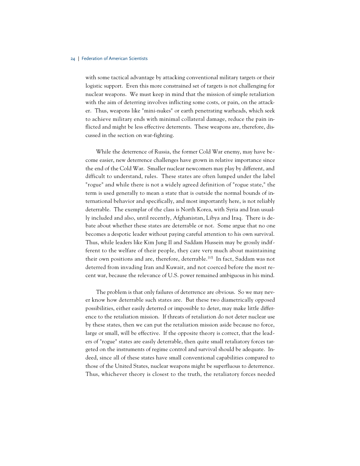with some tactical advantage by attacking conventional military targets or their logistic support. Even this more constrained set of targets is not challenging for nuclear weapons. We must keep in mind that the mission of simple retaliation with the aim of deterring involves inflicting some costs, or pain, on the attacker. Thus, weapons like "mini-nukes" or earth penetrating warheads, which seek to achieve military ends with minimal collateral damage, reduce the pain inflicted and might be less effective deterrents. These weapons are, therefore, discussed in the section on war-fighting.

While the deterrence of Russia, the former Cold War enemy, may have become easier, new deterrence challenges have grown in relative importance since the end of the Cold War. Smaller nuclear newcomers may play by different, and difficult to understand, rules. These states are often lumped under the label "rogue" and while there is not a widely agreed definition of "rogue state," the term is used generally to mean a state that is outside the normal bounds of international behavior and specifically, and most importantly here, is not reliably deterrable. The exemplar of the class is North Korea, with Syria and Iran usually included and also, until recently, Afghanistan, Libya and Iraq. There is debate about whether these states are deterrable or not. Some argue that no one becomes a despotic leader without paying careful attention to his own survival. Thus, while leaders like Kim Jung Il and Saddam Hussein may be grossly indifferent to the welfare of their people, they care very much about maintaining their own positions and are, therefore, deterrable.<sup>[10]</sup> In fact, Saddam was not deterred from invading Iran and Kuwait, and not coerced before the most recent war, because the relevance of U.S. power remained ambiguous in his mind.

The problem is that only failures of deterrence are obvious. So we may never know how deterrable such states are. But these two diametrically opposed possibilities, either easily deterred or impossible to deter, may make little difference to the retaliation mission. If threats of retaliation do not deter nuclear use by these states, then we can put the retaliation mission aside because no force, large or small, will be effective. If the opposite theory is correct, that the leaders of "rogue" states are easily deterrable, then quite small retaliatory forces targeted on the instruments of regime control and survival should be adequate. Indeed, since all of these states have small conventional capabilities compared to those of the United States, nuclear weapons might be superfluous to deterrence. Thus, whichever theory is closest to the truth, the retaliatory forces needed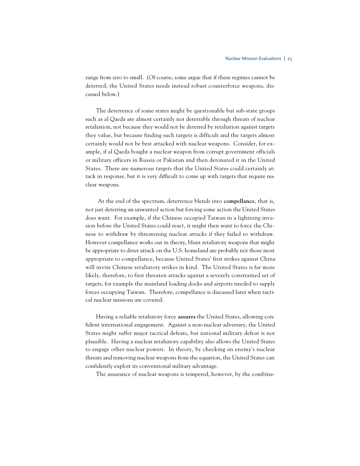range from zero to small. (Of course, some argue that if these regimes cannot be deterred, the United States needs instead robust counterforce weapons, discussed below.)

The deterrence of some states might be questionable but sub-state groups such as al Qaeda are almost certainly not deterrable through threats of nuclear retaliation, not because they would not be deterred by retaliation against targets they value, but because finding such targets is difficult and the targets almost certainly would not be best attacked with nuclear weapons. Consider, for example, if al Qaeda bought a nuclear weapon from corrupt government officials or military officers in Russia or Pakistan and then detonated it in the United States. There are numerous targets that the United States could certainly attack in response, but it is very difficult to come up with targets that require nuclear weapons.

At the end of the spectrum, deterrence blends into **compellance**, that is, not just deterring an unwanted action but forcing some action the United States does want. For example, if the Chinese occupied Taiwan in a lightning invasion before the United States could react, it might then want to force the Chinese to withdraw by threatening nuclear attacks if they failed to withdraw. However compellance works out in theory, blunt retaliatory weapons that might be appropriate to deter attack on the U.S. homeland are probably not those most appropriate to compellance, because United States' first strikes against China will invite Chinese retaliatory strikes in kind. The United States is far more likely, therefore, to first threaten attacks against a severely constrained set of targets, for example the mainland loading docks and airports needed to supply forces occupying Taiwan. Therefore, compellance is discussed later when tactical nuclear missions are covered.

Having a reliable retaliatory force **assures** the United States, allowing confident international engagement. Against a non-nuclear adversary, the United States might suffer major tactical defeats, but national military defeat is not plausible. Having a nuclear retaliatory capability also allows the United States to engage other nuclear powers. In theory, by checking an enemy's nuclear threats and removing nuclear weapons from the equation, the United States can confidently exploit its conventional military advantage.

The assurance of nuclear weapons is tempered, however, by the combina-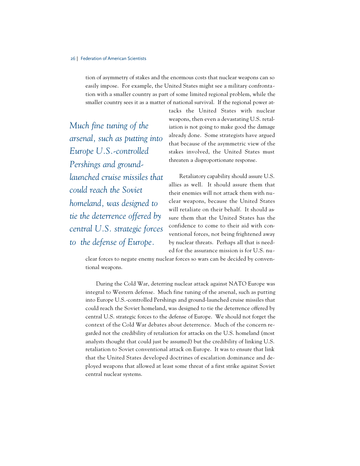tion of asymmetry of stakes and the enormous costs that nuclear weapons can so easily impose. For example, the United States might see a military confrontation with a smaller country as part of some limited regional problem, while the smaller country sees it as a matter of national survival. If the regional power at-

*Much fine tuning of the arsenal, such as putting into Europe U.S.-controlled Pershings and groundlaunched cruise missiles that could reach the Soviet homeland, was designed to tie the deterrence offered by central U.S. strategic forces to the defense of Europe.* 

tacks the United States with nuclear weapons, then even a devastating U.S. retaliation is not going to make good the damage already done. Some strategists have argued that because of the asymmetric view of the stakes involved, the United States must threaten a disproportionate response.

Retaliatory capability should assure U.S. allies as well. It should assure them that their enemies will not attack them with nuclear weapons, because the United States will retaliate on their behalf. It should assure them that the United States has the confidence to come to their aid with conventional forces, not being frightened away by nuclear threats. Perhaps all that is needed for the assurance mission is for U.S. nu-

clear forces to negate enemy nuclear forces so wars can be decided by conventional weapons.

During the Cold War, deterring nuclear attack against NATO Europe was integral to Western defense. Much fine tuning of the arsenal, such as putting into Europe U.S.-controlled Pershings and ground-launched cruise missiles that could reach the Soviet homeland, was designed to tie the deterrence offered by central U.S. strategic forces to the defense of Europe. We should not forget the context of the Cold War debates about deterrence. Much of the concern regarded not the credibility of retaliation for attacks on the U.S. homeland (most analysts thought that could just be assumed) but the credibility of linking U.S. retaliation to Soviet conventional attack on Europe. It was to ensure that link that the United States developed doctrines of escalation dominance and deployed weapons that allowed at least some threat of a first strike against Soviet central nuclear systems.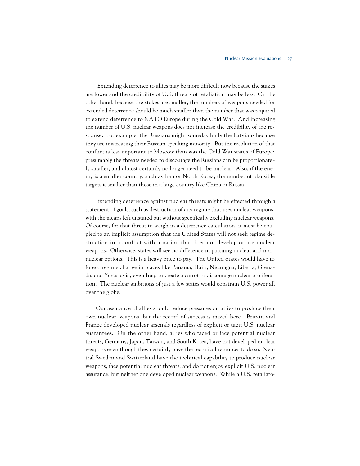Extending deterrence to allies may be more difficult now because the stakes are lower and the credibility of U.S. threats of retaliation may be less. On the other hand, because the stakes are smaller, the numbers of weapons needed for extended deterrence should be much smaller than the number that was required to extend deterrence to NATO Europe during the Cold War. And increasing the number of U.S. nuclear weapons does not increase the credibility of the response. For example, the Russians might someday bully the Latvians because they are mistreating their Russian-speaking minority. But the resolution of that conflict is less important to Moscow than was the Cold War status of Europe; presumably the threats needed to discourage the Russians can be proportionately smaller, and almost certainly no longer need to be nuclear. Also, if the enemy is a smaller country, such as Iran or North Korea, the number of plausible targets is smaller than those in a large country like China or Russia.

Extending deterrence against nuclear threats might be effected through a statement of goals, such as destruction of any regime that uses nuclear weapons, with the means left unstated but without specifically excluding nuclear weapons. Of course, for that threat to weigh in a deterrence calculation, it must be coupled to an implicit assumption that the United States will not seek regime destruction in a conflict with a nation that does not develop or use nuclear weapons. Otherwise, states will see no difference in pursuing nuclear and nonnuclear options. This is a heavy price to pay. The United States would have to forego regime change in places like Panama, Haiti, Nicaragua, Liberia, Grenada, and Yugoslavia, even Iraq, to create a carrot to discourage nuclear proliferation. The nuclear ambitions of just a few states would constrain U.S. power all over the globe.

Our assurance of allies should reduce pressures on allies to produce their own nuclear weapons, but the record of success is mixed here. Britain and France developed nuclear arsenals regardless of explicit or tacit U.S. nuclear guarantees. On the other hand, allies who faced or face potential nuclear threats, Germany, Japan, Taiwan, and South Korea, have not developed nuclear weapons even though they certainly have the technical resources to do so. Neutral Sweden and Switzerland have the technical capability to produce nuclear weapons, face potential nuclear threats, and do not enjoy explicit U.S. nuclear assurance, but neither one developed nuclear weapons. While a U.S. retaliato-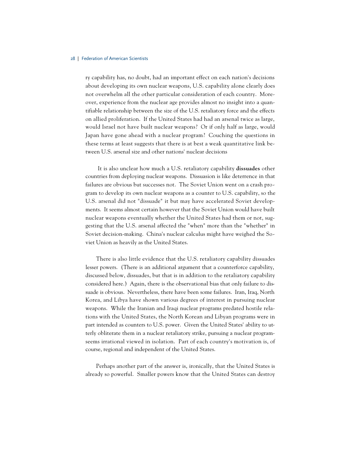ry capability has, no doubt, had an important effect on each nation's decisions about developing its own nuclear weapons, U.S. capability alone clearly does not overwhelm all the other particular consideration of each country. Moreover, experience from the nuclear age provides almost no insight into a quantifiable relationship between the size of the U.S. retaliatory force and the effects on allied proliferation. If the United States had had an arsenal twice as large, would Israel not have built nuclear weapons? Or if only half as large, would Japan have gone ahead with a nuclear program? Couching the questions in these terms at least suggests that there is at best a weak quantitative link between U.S. arsenal size and other nations' nuclear decisions

It is also unclear how much a U.S. retaliatory capability **dissuades** other countries from deploying nuclear weapons. Dissuasion is like deterrence in that failures are obvious but successes not. The Soviet Union went on a crash program to develop its own nuclear weapons as a counter to U.S. capability, so the U.S. arsenal did not "dissuade" it but may have accelerated Soviet developments. It seems almost certain however that the Soviet Union would have built nuclear weapons eventually whether the United States had them or not, suggesting that the U.S. arsenal affected the "when" more than the "whether" in Soviet decision-making. China's nuclear calculus might have weighed the Soviet Union as heavily as the United States.

There is also little evidence that the U.S. retaliatory capability dissuades lesser powers. (There is an additional argument that a counterforce capability, discussed below, dissuades, but that is in addition to the retaliatory capability considered here.) Again, there is the observational bias that only failure to dissuade is obvious. Nevertheless, there have been some failures. Iran, Iraq, North Korea, and Libya have shown various degrees of interest in pursuing nuclear weapons. While the Iranian and Iraqi nuclear programs predated hostile relations with the United States, the North Korean and Libyan programs were in part intended as counters to U.S. power. Given the United States' ability to utterly obliterate them in a nuclear retaliatory strike, pursuing a nuclear programseems irrational viewed in isolation. Part of each country's motivation is, of course, regional and independent of the United States.

Perhaps another part of the answer is, ironically, that the United States is already so powerful. Smaller powers know that the United States can destroy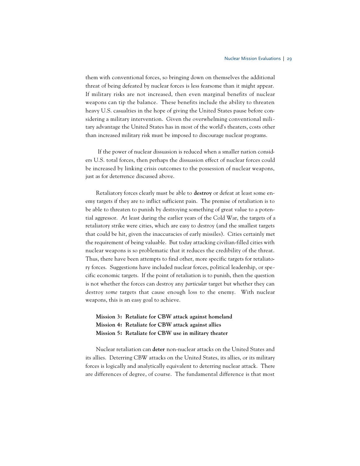them with conventional forces, so bringing down on themselves the additional threat of being defeated by nuclear forces is less fearsome than it might appear. If military risks are not increased, then even marginal benefits of nuclear weapons can tip the balance. These benefits include the ability to threaten heavy U.S. casualties in the hope of giving the United States pause before considering a military intervention. Given the overwhelming conventional military advantage the United States has in most of the world's theaters, costs other than increased military risk must be imposed to discourage nuclear programs.

If the power of nuclear dissuasion is reduced when a smaller nation considers U.S. total forces, then perhaps the dissuasion effect of nuclear forces could be increased by linking crisis outcomes to the possession of nuclear weapons, just as for deterrence discussed above.

Retaliatory forces clearly must be able to **destroy** or defeat at least some enemy targets if they are to inflict sufficient pain. The premise of retaliation is to be able to threaten to punish by destroying something of great value to a potential aggressor. At least during the earlier years of the Cold War, the targets of a retaliatory strike were cities, which are easy to destroy (and the smallest targets that could be hit, given the inaccuracies of early missiles). Cities certainly met the requirement of being valuable. But today attacking civilian-filled cities with nuclear weapons is so problematic that it reduces the credibility of the threat. Thus, there have been attempts to find other, more specific targets for retaliatory forces. Suggestions have included nuclear forces, political leadership, or specific economic targets. If the point of retaliation is to punish, then the question is not whether the forces can destroy any *particular* target but whether they can destroy *some* targets that cause enough loss to the enemy. With nuclear weapons, this is an easy goal to achieve.

**Mission 3: Retaliate for CBW attack against homeland Mission 4: Retaliate for CBW attack against allies Mission 5: Retaliate for CBW use in military theater**

Nuclear retaliation can **deter** non-nuclear attacks on the United States and its allies. Deterring CBW attacks on the United States, its allies, or its military forces is logically and analytically equivalent to deterring nuclear attack. There are differences of degree, of course. The fundamental difference is that most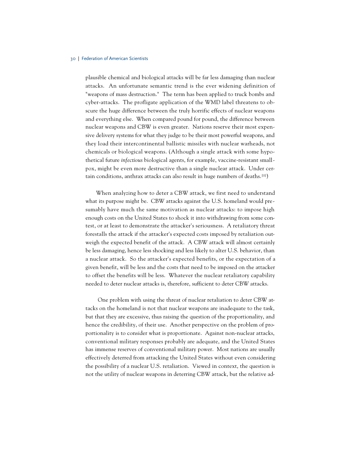plausible chemical and biological attacks will be far less damaging than nuclear attacks. An unfortunate semantic trend is the ever widening definition of "weapons of mass destruction." The term has been applied to truck bombs and cyber-attacks. The profligate application of the WMD label threatens to obscure the huge difference between the truly horrific effects of nuclear weapons and everything else. When compared pound for pound, the difference between nuclear weapons and CBW is even greater. Nations reserve their most expensive delivery systems for what they judge to be their most powerful weapons, and they load their intercontinental ballistic missiles with nuclear warheads, not chemicals or biological weapons. (Although a single attack with some hypothetical future *infectious* biological agents, for example, vaccine-resistant smallpox, might be even more destructive than a single nuclear attack. Under certain conditions, anthrax attacks can also result in huge numbers of deaths. [11])

When analyzing how to deter a CBW attack, we first need to understand what its purpose might be. CBW attacks against the U.S. homeland would presumably have much the same motivation as nuclear attacks: to impose high enough costs on the United States to shock it into withdrawing from some contest, or at least to demonstrate the attacker's seriousness. A retaliatory threat forestalls the attack if the attacker's expected costs imposed by retaliation outweigh the expected benefit of the attack. A CBW attack will almost certainly be less damaging, hence less shocking and less likely to alter U.S. behavior, than a nuclear attack. So the attacker's expected benefits, or the expectation of a given benefit, will be less and the costs that need to be imposed on the attacker to offset the benefits will be less. Whatever the nuclear retaliatory capability needed to deter nuclear attacks is, therefore, sufficient to deter CBW attacks.

One problem with using the threat of nuclear retaliation to deter CBW attacks on the homeland is not that nuclear weapons are inadequate to the task, but that they are excessive, thus raising the question of the proportionality, and hence the credibility, of their use. Another perspective on the problem of proportionality is to consider what is proportionate. Against non-nuclear attacks, conventional military responses probably are adequate, and the United States has immense reserves of conventional military power. Most nations are usually effectively deterred from attacking the United States without even considering the possibility of a nuclear U.S. retaliation. Viewed in context, the question is not the utility of nuclear weapons in deterring CBW attack, but the relative ad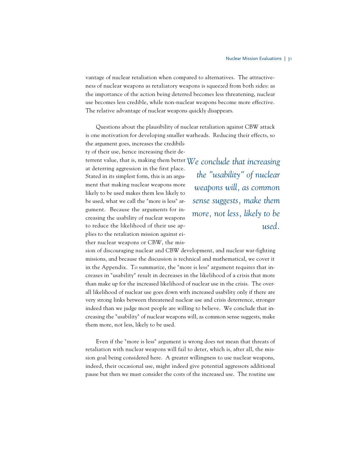vantage of nuclear retaliation when compared to alternatives. The attractiveness of nuclear weapons as retaliatory weapons is squeezed from both sides: as the importance of the action being deterred becomes less threatening, nuclear use becomes less credible, while non-nuclear weapons become more effective. The relative advantage of nuclear weapons quickly disappears.

Questions about the plausibility of nuclear retaliation against CBW attack is one motivation for developing smaller warheads. Reducing their effects, so the argument goes, increases the credibili-

ty of their use, hence increasing their de-

at deterring aggression in the first place. Stated in its simplest form, this is an argument that making nuclear weapons more likely to be used makes them less likely to be used, what we call the "more is less" argument. Because the arguments for increasing the usability of nuclear weapons to reduce the likelihood of their use applies to the retaliation mission against either nuclear weapons or CBW, the mis-

terrent value, that is, making them better *We conclude that increasing the "usability" of nuclear weapons will, as common sense suggests, make them more, not less, likely to be used.*

sion of discouraging nuclear and CBW development, and nuclear war-fighting missions, and because the discussion is technical and mathematical, we cover it in the Appendix. To summarize, the "more is less" argument requires that increases in "usability" result in decreases in the likelihood of a crisis that more than make up for the increased likelihood of nuclear use in the crisis. The overall likelihood of nuclear use goes down with increased usability only if there are very strong links between threatened nuclear use and crisis deterrence, stronger indeed than we judge most people are willing to believe. We conclude that increasing the "usability" of nuclear weapons will, as common sense suggests, make them more, not less, likely to be used.

Even if the "more is less" argument is wrong does *not* mean that threats of retaliation with nuclear weapons will fail to deter, which is, after all, the mission goal being considered here. A greater willingness to use nuclear weapons, indeed, their occasional use, might indeed give potential aggressors additional pause but then we must consider the costs of the increased use. The routine use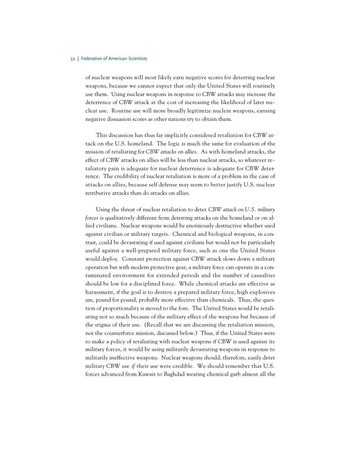of nuclear weapons will most likely earn negative scores for deterring nuclear weapons, because we cannot expect that only the United States will routinely use them. Using nuclear weapons in response to CBW attacks may increase the deterrence of CBW attack at the cost of increasing the likelihood of later nuclear use. Routine use will more broadly legitimize nuclear weapons, earning negative dissuasion scores as other nations try to obtain them.

This discussion has thus far implicitly considered retaliation for CBW attack on the U.S. homeland. The logic is much the same for evaluation of the mission of retaliating for *CBW attacks on allies*. As with homeland attacks, the effect of CBW attacks on allies will be less than nuclear attacks, so whatever retaliatory pain is adequate for nuclear deterrence is adequate for CBW deterrence. The credibility of nuclear retaliation is more of a problem in the case of attacks on allies, because self defense may seem to better justify U.S. nuclear retributive attacks than do attacks on allies.

Using the threat of nuclear retaliation to deter *CBW attack on U.S. military forces* is qualitatively different from deterring attacks on the homeland or on allied civilians. Nuclear weapons would be enormously destructive whether used against civilian or military targets. Chemical and biological weapons, in contrast, could be devastating if used against civilians but would not be particularly useful against a well-prepared military force, such as one the United States would deploy. Constant protection against CBW attack slows down a military operation but with modern protective gear, a military force can operate in a contaminated environment for extended periods and the number of casualties should be low for a disciplined force. While chemical attacks are effective as harassment, if the goal is to destroy a prepared military force, high explosives are, pound for pound, probably more effective than chemicals. Thus, the question of proportionality is moved to the fore. The United States would be retaliating not so much because of the military effect of the weapons but because of the stigma of their use. (Recall that we are discussing the retaliation mission, not the counterforce mission, discussed below.) Thus, if the United States were to make a policy of retaliating with nuclear weapons if CBW is used against its military forces, it would be using militarily devastating weapons in response to militarily ineffective weapons. Nuclear weapons should, therefore, easily deter military CBW use *if* their use were credible. We should remember that U.S. forces advanced from Kuwait to Baghdad wearing chemical garb almost all the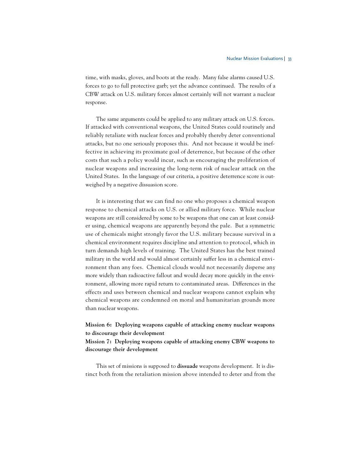time, with masks, gloves, and boots at the ready. Many false alarms caused U.S. forces to go to full protective garb; yet the advance continued. The results of a CBW attack on U.S. military forces almost certainly will not warrant a nuclear response.

The same arguments could be applied to any military attack on U.S. forces. If attacked with conventional weapons, the United States could routinely and reliably retaliate with nuclear forces and probably thereby deter conventional attacks, but no one seriously proposes this. And not because it would be ineffective in achieving its proximate goal of deterrence, but because of the other costs that such a policy would incur, such as encouraging the proliferation of nuclear weapons and increasing the long-term risk of nuclear attack on the United States. In the language of our criteria, a positive deterrence score is outweighed by a negative dissuasion score.

It is interesting that we can find no one who proposes a chemical weapon response to chemical attacks on U.S. or allied military force. While nuclear weapons are still considered by some to be weapons that one can at least consider using, chemical weapons are apparently beyond the pale. But a symmetric use of chemicals might strongly favor the U.S. military because survival in a chemical environment requires discipline and attention to protocol, which in turn demands high levels of training. The United States has the best trained military in the world and would almost certainly suffer less in a chemical environment than any foes. Chemical clouds would not necessarily disperse any more widely than radioactive fallout and would decay more quickly in the environment, allowing more rapid return to contaminated areas. Differences in the effects and uses between chemical and nuclear weapons cannot explain why chemical weapons are condemned on moral and humanitarian grounds more than nuclear weapons.

# **Mission 6: Deploying weapons capable of attacking enemy nuclear weapons to discourage their development**

**Mission 7: Deploying weapons capable of attacking enemy CBW weapons to discourage their development**

This set of missions is supposed to **dissuade** weapons development. It is distinct both from the retaliation mission above intended to deter and from the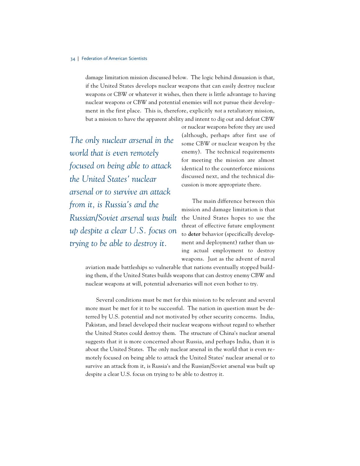damage limitation mission discussed below. The logic behind dissuasion is that, if the United States develops nuclear weapons that can easily destroy nuclear weapons or CBW or whatever it wishes, then there is little advantage to having nuclear weapons or CBW and potential enemies will not pursue their development in the first place. This is, therefore, explicitly *not* a retaliatory mission, but a mission to have the apparent ability and intent to dig out and defeat CBW

*The only nuclear arsenal in the world that is even remotely focused on being able to attack the United States' nuclear arsenal or to survive an attack from it, is Russia's and the Russian/Soviet arsenal was built up despite a clear U.S. focus on trying to be able to destroy it.*

or nuclear weapons before they are used (although, perhaps after first use of some CBW or nuclear weapon by the enemy). The technical requirements for meeting the mission are almost identical to the counterforce missions discussed next, and the technical discussion is more appropriate there.

The main difference between this mission and damage limitation is that the United States hopes to use the threat of effective future employment to **deter** behavior (specifically development and deployment) rather than using actual employment to destroy weapons. Just as the advent of naval

aviation made battleships so vulnerable that nations eventually stopped building them, if the United States builds weapons that can destroy enemy CBW and nuclear weapons at will, potential adversaries will not even bother to try.

Several conditions must be met for this mission to be relevant and several more must be met for it to be successful. The nation in question must be deterred by U.S. potential and not motivated by other security concerns. India, Pakistan, and Israel developed their nuclear weapons without regard to whether the United States could destroy them. The structure of China's nuclear arsenal suggests that it is more concerned about Russia, and perhaps India, than it is about the United States. The only nuclear arsenal in the world that is even remotely focused on being able to attack the United States' nuclear arsenal or to survive an attack from it, is Russia's and the Russian/Soviet arsenal was built up despite a clear U.S. focus on trying to be able to destroy it.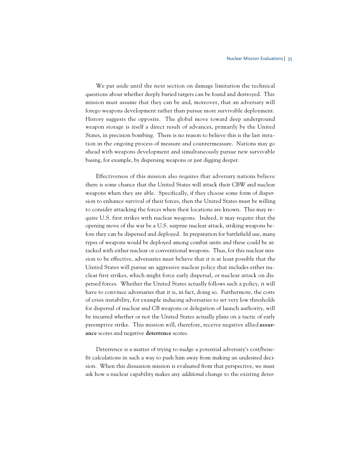We put aside until the next section on damage limitation the technical questions about whether deeply buried targets can be found and destroyed. This mission must assume that they can be and, moreover, that an adversary will forego weapons development rather than pursue more survivable deployment. History suggests the opposite. The global move toward deep underground weapon storage is itself a direct result of advances, primarily by the United States, in precision bombing. There is no reason to believe this is the last iteration in the ongoing process of measure and countermeasure. Nations may go ahead with weapons development and simultaneously pursue new survivable basing, for example, by dispersing weapons or just digging deeper.

Effectiveness of this mission also requires that adversary nations believe there is some chance that the United States will attack their CBW and nuclear weapons when they are able. Specifically, if they choose some form of dispersion to enhance survival of their forces, then the United States must be willing to consider attacking the forces when their locations are known. This may require U.S. first strikes with nuclear weapons. Indeed, it may require that the opening move of the war be a U.S. surprise nuclear attack, striking weapons before they can be dispersed and deployed. In preparation for battlefield use, many types of weapons would be deployed among combat units and these could be attacked with either nuclear or conventional weapons. Thus, for this nuclear mission to be effective, adversaries must believe that it is at least possible that the United States will pursue an aggressive nuclear policy that includes either nuclear first strikes, which might force early dispersal, or nuclear attack on dispersed forces. Whether the United States actually follows such a policy, it will have to convince adversaries that it is, in fact, doing so. Furthermore, the costs of crisis instability, for example inducing adversaries to set very low thresholds for dispersal of nuclear and CB weapons or delegation of launch authority, will be incurred whether or not the United States actually plans on a tactic of early preemptive strike. This mission will, therefore, receive negative allied **assurance** scores and negative **deterrence** scores.

Deterrence is a matter of trying to nudge a potential adversary's cost/benefit calculations in such a way to push him away from making an undesired decision. When this dissuasion mission is evaluated from that perspective, we must ask how a nuclear capability makes any *additional* change to the existing deter-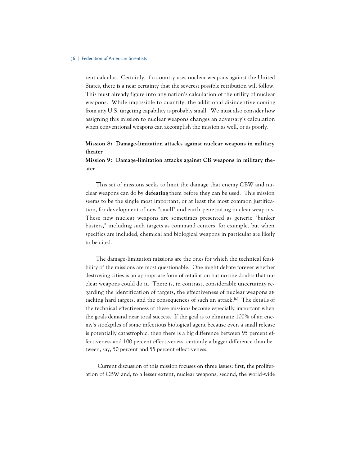rent calculus. Certainly, if a country uses nuclear weapons against the United States, there is a near certainty that the severest possible retribution will follow. This must already figure into any nation's calculation of the utility of nuclear weapons. While impossible to quantify, the additional disincentive coming from any U.S. targeting capability is probably small. We must also consider how assigning this mission to nuclear weapons changes an adversary's calculation when conventional weapons can accomplish the mission as well, or as poorly.

# **Mission 8: Damage-limitation attacks against nuclear weapons in military theater**

# **Mission 9: Damage-limitation attacks against CB weapons in military theater**

This set of missions seeks to limit the damage that enemy CBW and nuclear weapons can do by **defeating** them before they can be used. This mission seems to be the single most important, or at least the most common justification, for development of new "small" and earth-penetrating nuclear weapons. These new nuclear weapons are sometimes presented as generic "bunker busters," including such targets as command centers, for example, but when specifics are included, chemical and biological weapons in particular are likely to be cited.

The damage-limitation missions are the ones for which the technical feasibility of the missions are most questionable. One might debate forever whether destroying cities is an appropriate form of retaliation but no one doubts that nuclear weapons could do it. There is, in contrast, considerable uncertainty regarding the identification of targets, the effectiveness of nuclear weapons attacking hard targets, and the consequences of such an attack.<sup>[12]</sup> The details of the technical effectiveness of these missions become especially important when the goals demand near total success. If the goal is to eliminate 100% of an enemy's stockpiles of some infectious biological agent because even a small release is potentially catastrophic, then there is a big difference between 95 percent effectiveness and 100 percent effectiveness, certainly a bigger difference than between, say, 50 percent and 55 percent effectiveness.

Current discussion of this mission focuses on three issues: first, the proliferation of CBW and, to a lesser extent, nuclear weapons; second, the world-wide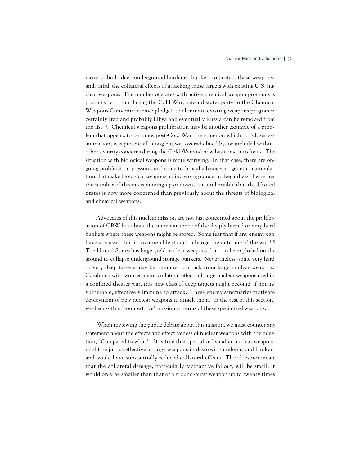move to build deep underground hardened bunkers to protect these weapons; and, third, the collateral effects of attacking these targets with existing U.S. nuclear weapons. The number of states with active chemical weapon programs is probably less than during the Cold War; several states party to the Chemical Weapons Convention have pledged to eliminate existing weapons programs; certainly Iraq and probably Libya and eventually Russia can be removed from the list<sup>[13]</sup>. Chemical weapons proliferation may be another example of a problem that appears to be a new post-Cold War phenomenon which, on closer examination, was present all along but was overwhelmed by, or included within, other security concerns during the Cold War and now has come into focus. The situation with biological weapons is more worrying. In that case, there are ongoing proliferation pressures and some technical advances in genetic manipulation that make biological weapons an increasing concern. Regardless of whether the number of threats is moving up or down, it is undeniable that the United States is now more concerned than previously about the threats of biological and chemical weapons.

Advocates of this nuclear mission are not just concerned about the proliferation of CBW but about the mere existence of the deeply buried or very hard bunkers where these weapons might be stored. Some fear that if any enemy can have any asset that is invulnerable it could change the outcome of the war.<sup>[14]</sup> The United States has large-yield nuclear weapons that can be exploded on the ground to collapse underground storage bunkers. Nevertheless, some very hard or very deep targets may be immune to attack from large nuclear weapons. Combined with worries about collateral effects of large nuclear weapons used in a confined theater war, this new class of deep targets might become, if not invulnerable, effectively immune to attack. These enemy sanctuaries motivate deployment of new nuclear weapons to attack them. In the rest of this section, we discuss this "counterforce" mission in terms of these specialized weapons.

When reviewing the public debate about this mission, we must counter any statement about the effects and effectiveness of nuclear weapons with the question, "Compared to what?" It is true that specialized smaller nuclear weapons might be just as effective as large weapons in destroying underground bunkers and would have substantially reduced collateral effects. This does not mean that the collateral damage, particularly radioactive fallout, will be small; it would only be smaller than that of a ground-burst weapon up to twenty times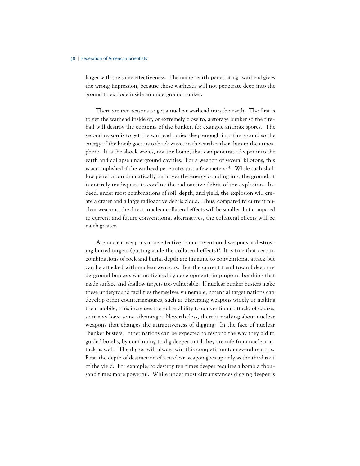larger with the same effectiveness. The name "earth-penetrating" warhead gives the wrong impression, because these warheads will not penetrate deep into the ground to explode inside an underground bunker.

There are two reasons to get a nuclear warhead into the earth. The first is to get the warhead inside of, or extremely close to, a storage bunker so the fireball will destroy the contents of the bunker, for example anthrax spores. The second reason is to get the warhead buried deep enough into the ground so the energy of the bomb goes into shock waves in the earth rather than in the atmosphere. It is the shock waves, not the bomb, that can penetrate deeper into the earth and collapse underground cavities. For a weapon of several kilotons, this is accomplished if the warhead penetrates just a few meters<sup>[15]</sup>. While such shallow penetration dramatically improves the energy coupling into the ground, it is entirely inadequate to confine the radioactive debris of the explosion. Indeed, under most combinations of soil, depth, and yield, the explosion will create a crater and a large radioactive debris cloud. Thus, compared to current nuclear weapons, the direct, nuclear collateral effects will be smaller, but compared to current and future conventional alternatives, the collateral effects will be much greater.

Are nuclear weapons more effective than conventional weapons at destroying buried targets (putting aside the collateral effects)? It is true that certain combinations of rock and burial depth are immune to conventional attack but can be attacked with nuclear weapons. But the current trend toward deep underground bunkers was motivated by developments in pinpoint bombing that made surface and shallow targets too vulnerable. If nuclear bunker busters make these underground facilities themselves vulnerable, potential target nations can develop other countermeasures, such as dispersing weapons widely or making them mobile; this increases the vulnerability to conventional attack, of course, so it may have some advantage. Nevertheless, there is nothing about nuclear weapons that changes the attractiveness of digging. In the face of nuclear "bunker busters," other nations can be expected to respond the way they did to guided bombs, by continuing to dig deeper until they are safe from nuclear attack as well. The digger will always win this competition for several reasons. First, the depth of destruction of a nuclear weapon goes up only as the third root of the yield. For example, to destroy ten times deeper requires a bomb a thousand times more powerful. While under most circumstances digging deeper is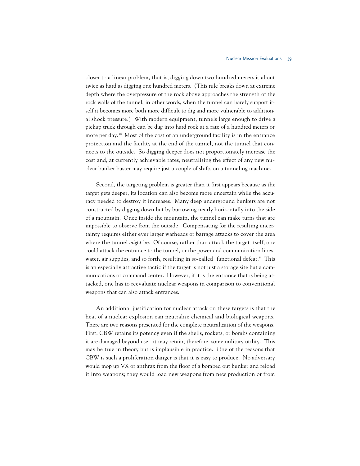closer to a linear problem, that is, digging down two hundred meters is about twice as hard as digging one hundred meters. (This rule breaks down at extreme depth where the overpressure of the rock above approaches the strength of the rock walls of the tunnel, in other words, when the tunnel can barely support itself it becomes more both more difficult to dig and more vulnerable to additional shock pressure.) With modern equipment, tunnels large enough to drive a pickup truck through can be dug into hard rock at a rate of a hundred meters or more per day.<sup>16</sup> Most of the cost of an underground facility is in the entrance protection and the facility at the end of the tunnel, not the tunnel that connects to the outside. So digging deeper does not proportionately increase the cost and, at currently achievable rates, neutralizing the effect of any new nuclear bunker buster may require just a couple of shifts on a tunneling machine.

Second, the targeting problem is greater than it first appears because as the target gets deeper, its location can also become more uncertain while the accuracy needed to destroy it increases. Many deep underground bunkers are not constructed by digging down but by burrowing nearly horizontally into the side of a mountain. Once inside the mountain, the tunnel can make turns that are impossible to observe from the outside. Compensating for the resulting uncertainty requires either ever larger warheads or barrage attacks to cover the area where the tunnel *might* be. Of course, rather than attack the target itself, one could attack the entrance to the tunnel, or the power and communication lines, water, air supplies, and so forth, resulting in so-called "functional defeat." This is an especially attractive tactic if the target is not just a storage site but a communications or command center. However, if it is the entrance that is being attacked, one has to reevaluate nuclear weapons in comparison to conventional weapons that can also attack entrances.

An additional justification for nuclear attack on these targets is that the heat of a nuclear explosion can neutralize chemical and biological weapons. There are two reasons presented for the complete neutralization of the weapons. First, CBW retains its potency even if the shells, rockets, or bombs containing it are damaged beyond use; it may retain, therefore, some military utility. This may be true in theory but is implausible in practice. One of the reasons that CBW is such a proliferation danger is that it is easy to produce. No adversary would mop up VX or anthrax from the floor of a bombed out bunker and reload it into weapons; they would load new weapons from new production or from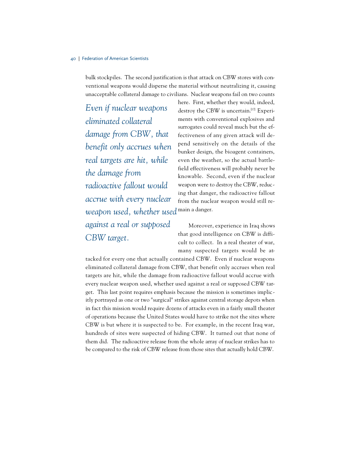bulk stockpiles. The second justification is that attack on CBW stores with conventional weapons would disperse the material without neutralizing it, causing unacceptable collateral damage to civilians. Nuclear weapons fail on two counts

weapon used, whether used <sup>main a danger.</sup> *Even if nuclear weapons eliminated collateral damage from CBW, that benefit only accrues when real targets are hit, while the damage from radioactive fallout would accrue with every nuclear against a real or supposed CBW target.* 

here. First, whether they would, indeed, destroy the CBW is uncertain.<sup>[17]</sup> Experiments with conventional explosives and surrogates could reveal much but the effectiveness of any given attack will depend sensitively on the details of the bunker design, the bioagent containers, even the weather, so the actual battlefield effectiveness will probably never be knowable. Second, even if the nuclear weapon were to destroy the CBW, reducing that danger, the radioactive fallout from the nuclear weapon would still re-

Moreover, experience in Iraq shows that good intelligence on CBW is difficult to collect. In a real theater of war, many suspected targets would be at-

tacked for every one that actually contained CBW. Even if nuclear weapons eliminated collateral damage from CBW, that benefit only accrues when real targets are hit, while the damage from radioactive fallout would accrue with every nuclear weapon used, whether used against a real or supposed CBW target. This last point requires emphasis because the mission is sometimes implicitly portrayed as one or two "surgical" strikes against central storage depots when in fact this mission would require dozens of attacks even in a fairly small theater of operations because the United States would have to strike not the sites where CBW is but where it is suspected to be. For example, in the recent Iraq war, hundreds of sites were suspected of hiding CBW. It turned out that none of them did. The radioactive release from the whole array of nuclear strikes has to be compared to the risk of CBW release from those sites that actually hold CBW.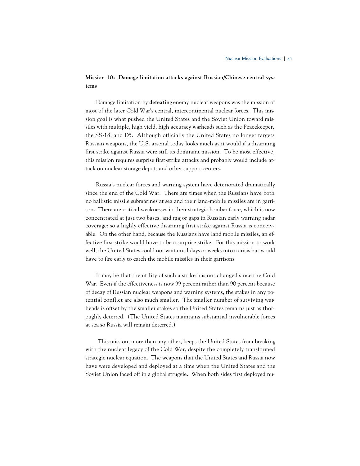# **Mission 10: Damage limitation attacks against Russian/Chinese central systems**

Damage limitation by **defeating** enemy nuclear weapons was the mission of most of the later Cold War's central, intercontinental nuclear forces. This mission goal is what pushed the United States and the Soviet Union toward missiles with multiple, high yield, high accuracy warheads such as the Peacekeeper, the SS-18, and D5. Although officially the United States no longer targets Russian weapons, the U.S. arsenal today looks much as it would if a disarming first strike against Russia were still its dominant mission. To be most effective, this mission requires surprise first-strike attacks and probably would include attack on nuclear storage depots and other support centers.

Russia's nuclear forces and warning system have deteriorated dramatically since the end of the Cold War. There are times when the Russians have both no ballistic missile submarines at sea and their land-mobile missiles are in garrison. There are critical weaknesses in their strategic bomber force, which is now concentrated at just two bases, and major gaps in Russian early warning radar coverage; so a highly effective disarming first strike against Russia is conceivable. On the other hand, because the Russians have land mobile missiles, an effective first strike would have to be a surprise strike. For this mission to work well, the United States could not wait until days or weeks into a crisis but would have to fire early to catch the mobile missiles in their garrisons.

It may be that the utility of such a strike has not changed since the Cold War. Even if the effectiveness is now 99 percent rather than 90 percent because of decay of Russian nuclear weapons and warning systems, the stakes in any potential conflict are also much smaller. The smaller number of surviving warheads is offset by the smaller stakes so the United States remains just as thoroughly deterred. (The United States maintains substantial invulnerable forces at sea so Russia will remain deterred.)

This mission, more than any other, keeps the United States from breaking with the nuclear legacy of the Cold War, despite the completely transformed strategic nuclear equation. The weapons that the United States and Russia now have were developed and deployed at a time when the United States and the Soviet Union faced off in a global struggle. When both sides first deployed nu-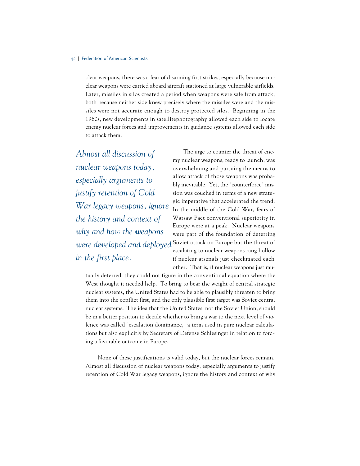clear weapons, there was a fear of disarming first strikes, especially because nuclear weapons were carried aboard aircraft stationed at large vulnerable airfields. Later, missiles in silos created a period when weapons were safe from attack, both because neither side knew precisely where the missiles were and the missiles were not accurate enough to destroy protected silos. Beginning in the 1960s, new developments in satellitephotography allowed each side to locate enemy nuclear forces and improvements in guidance systems allowed each side to attack them.

*Almost all discussion of nuclear weapons today, especially arguments to justify retention of Cold War legacy weapons, ignore the history and context of why and how the weapons in the first place.*

The urge to counter the threat of enemy nuclear weapons, ready to launch, was overwhelming and pursuing the means to allow attack of those weapons was probably inevitable. Yet, the "counterforce" mission was couched in terms of a new strategic imperative that accelerated the trend. In the middle of the Cold War, fears of Warsaw Pact conventional superiority in Europe were at a peak. Nuclear weapons were part of the foundation of deterring were developed and deployed <sup>Soviet</sup> attack on Europe but the threat of escalating to nuclear weapons rang hollow if nuclear arsenals just checkmated each other. That is, if nuclear weapons just mu-

tually deterred, they could not figure in the conventional equation where the West thought it needed help. To bring to bear the weight of central strategic nuclear systems, the United States had to be able to plausibly threaten to bring them into the conflict first, and the only plausible first target was Soviet central nuclear systems. The idea that the United States, not the Soviet Union, should be in a better position to decide whether to bring a war to the next level of violence was called "escalation dominance," a term used in pure nuclear calculations but also explicitly by Secretary of Defense Schlesinger in relation to forcing a favorable outcome in Europe.

None of these justifications is valid today, but the nuclear forces remain. Almost all discussion of nuclear weapons today, especially arguments to justify retention of Cold War legacy weapons, ignore the history and context of why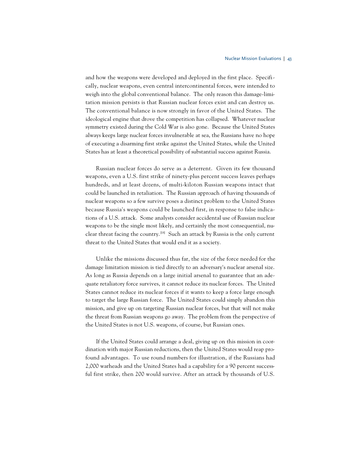and how the weapons were developed and deployed in the first place. Specifically, nuclear weapons, even central intercontinental forces, were intended to weigh into the global conventional balance. The only reason this damage-limitation mission persists is that Russian nuclear forces exist and can destroy us. The conventional balance is now strongly in favor of the United States. The ideological engine that drove the competition has collapsed. Whatever nuclear symmetry existed during the Cold War is also gone. Because the United States always keeps large nuclear forces invulnerable at sea, the Russians have no hope of executing a disarming first strike against the United States, while the United States has at least a theoretical possibility of substantial success against Russia.

Russian nuclear forces do serve as a deterrent. Given its few thousand weapons, even a U.S. first strike of ninety-plus percent success leaves perhaps hundreds, and at least dozens, of multi-kiloton Russian weapons intact that could be launched in retaliation. The Russian approach of having thousands of nuclear weapons so a few survive poses a distinct problem to the United States because Russia's weapons could be launched first, in response to false indications of a U.S. attack. Some analysts consider accidental use of Russian nuclear weapons to be the single most likely, and certainly the most consequential, nuclear threat facing the country. [18] Such an attack by Russia is the only current threat to the United States that would end it as a society.

Unlike the missions discussed thus far, the size of the force needed for the damage limitation mission is tied directly to an adversary's nuclear arsenal size. As long as Russia depends on a large initial arsenal to guarantee that an adequate retaliatory force survives, it cannot reduce its nuclear forces. The United States cannot reduce its nuclear forces if it wants to keep a force large enough to target the large Russian force. The United States could simply abandon this mission, and give up on targeting Russian nuclear forces, but that will not make the threat from Russian weapons go away. The problem from the perspective of the United States is not U.S. weapons, of course, but Russian ones.

If the United States could arrange a deal, giving up on this mission in coordination with major Russian reductions, then the United States would reap profound advantages. To use round numbers for illustration, if the Russians had 2,000 warheads and the United States had a capability for a 90 percent successful first strike, then 200 would survive. After an attack by thousands of U.S.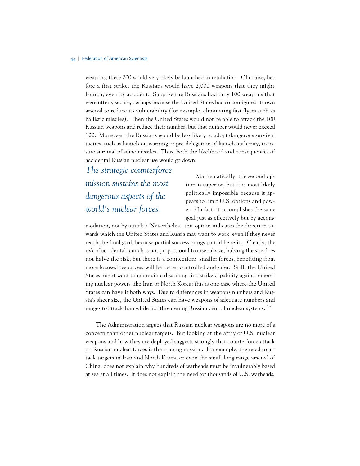weapons, these 200 would very likely be launched in retaliation. Of course, before a first strike, the Russians would have 2,000 weapons that they might launch, even by accident. Suppose the Russians had only 100 weapons that were utterly secure, perhaps because the United States had so configured its own arsenal to reduce its vulnerability (for example, eliminating fast flyers such as ballistic missiles). Then the United States would not be able to attack the 100 Russian weapons and reduce their number, but that number would never exceed 100. Moreover, the Russians would be less likely to adopt dangerous survival tactics, such as launch on warning or pre-delegation of launch authority, to insure survival of some missiles. Thus, both the likelihood and consequences of accidental Russian nuclear use would go down.

# *The strategic counterforce*

*mission sustains the most dangerous aspects of the world's nuclear forces.*

Mathematically, the second option is superior, but it is most likely politically impossible because it appears to limit U.S. options and power. (In fact, it accomplishes the same goal just as effectively but by accom-

modation, not by attack.) Nevertheless, this option indicates the direction towards which the United States and Russia may want to work, even if they never reach the final goal, because partial success brings partial benefits. Clearly, the risk of accidental launch is not proportional to arsenal size, halving the size does not halve the risk, but there is a connection: smaller forces, benefiting from more focused resources, will be better controlled and safer. Still, the United States might want to maintain a disarming first strike capability against emerging nuclear powers like Iran or North Korea; this is one case where the United States can have it both ways. Due to differences in weapons numbers and Russia's sheer size, the United States can have weapons of adequate numbers and ranges to attack Iran while not threatening Russian central nuclear systems. <sup>[19]</sup>

The Administration argues that Russian nuclear weapons are no more of a concern than other nuclear targets. But looking at the array of U.S. nuclear weapons and how they are deployed suggests strongly that counterforce attack on Russian nuclear forces is the shaping mission. For example, the need to attack targets in Iran and North Korea, or even the small long range arsenal of China, does not explain why hundreds of warheads must be invulnerably based at sea at all times. It does not explain the need for thousands of U.S. warheads,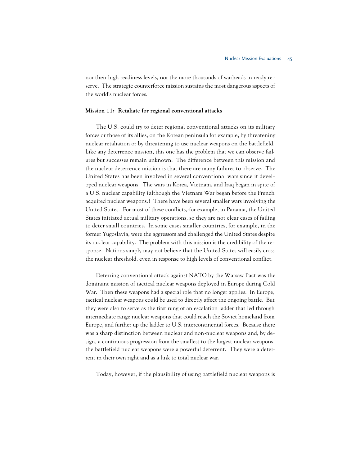nor their high readiness levels, nor the more thousands of warheads in ready reserve. The strategic counterforce mission sustains the most dangerous aspects of the world's nuclear forces.

# **Mission 11: Retaliate for regional conventional attacks**

The U.S. could try to deter regional conventional attacks on its military forces or those of its allies, on the Korean peninsula for example, by threatening nuclear retaliation or by threatening to use nuclear weapons on the battlefield. Like any deterrence mission, this one has the problem that we can observe failures but successes remain unknown. The difference between this mission and the nuclear deterrence mission is that there are many failures to observe. The United States has been involved in several conventional wars since it developed nuclear weapons. The wars in Korea, Vietnam, and Iraq began in spite of a U.S. nuclear capability (although the Vietnam War began before the French acquired nuclear weapons.) There have been several smaller wars involving the United States. For most of these conflicts,-for example, in Panama, the United States initiated actual military operations, so they are not clear cases of failing to deter small countries. In some cases smaller countries, for example, in the former Yugoslavia, were the aggressors and challenged the United States despite its nuclear capability. The problem with this mission is the credibility of the response. Nations simply may not believe that the United States will easily cross the nuclear threshold, even in response to high levels of conventional conflict.

Deterring conventional attack against NATO by the Warsaw Pact was the dominant mission of tactical nuclear weapons deployed in Europe during Cold War. Then these weapons had a special role that no longer applies. In Europe, tactical nuclear weapons could be used to directly affect the ongoing battle. But they were also to serve as the first rung of an escalation ladder that led through intermediate range nuclear weapons that could reach the Soviet homeland from Europe, and further up the ladder to U.S. intercontinental forces. Because there was a sharp distinction between nuclear and non-nuclear weapons and, by design, a continuous progression from the smallest to the largest nuclear weapons, the battlefield nuclear weapons were a powerful deterrent. They were a deterrent in their own right and as a link to total nuclear war.

Today, however, if the plausibility of using battlefield nuclear weapons is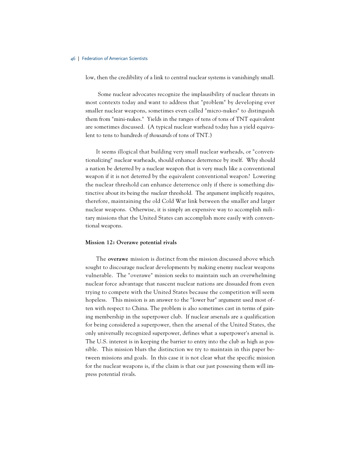low, then the credibility of a link to central nuclear systems is vanishingly small.

Some nuclear advocates recognize the implausibility of nuclear threats in most contexts today and want to address that "problem" by developing ever smaller nuclear weapons, sometimes even called "micro-nukes" to distinguish them from "mini-nukes." Yields in the ranges of tens of tons of TNT equivalent are sometimes discussed. (A typical nuclear warhead today has a yield equivalent to tens to hundreds *of thousands* of tons of TNT.)

It seems illogical that building very small nuclear warheads, or "conventionalizing" nuclear warheads, should enhance deterrence by itself. Why should a nation be deterred by a nuclear weapon that is very much like a conventional weapon if it is not deterred by the equivalent conventional weapon? Lowering the nuclear threshold can enhance deterrence only if there is something distinctive about its being the *nuclear* threshold. The argument implicitly requires, therefore, maintaining the old Cold War link between the smaller and larger nuclear weapons. Otherwise, it is simply an expensive way to accomplish military missions that the United States can accomplish more easily with conventional weapons.

# **Mission 12: Overawe potential rivals**

The **overawe** mission is distinct from the mission discussed above which sought to discourage nuclear developments by making enemy nuclear weapons vulnerable. The "overawe" mission seeks to maintain such an overwhelming nuclear force advantage that nascent nuclear nations are dissuaded from even trying to compete with the United States because the competition will seem hopeless. This mission is an answer to the "lower bar" argument used most often with respect to China. The problem is also sometimes cast in terms of gaining membership in the superpower club. If nuclear arsenals are a qualification for being considered a superpower, then the arsenal of the United States, the only universally recognized superpower, defines what a superpower's arsenal is. The U.S. interest is in keeping the barrier to entry into the club as high as possible. This mission blurs the distinction we try to maintain in this paper between missions and goals. In this case it is not clear what the specific mission for the nuclear weapons is, if the claim is that our just possessing them will impress potential rivals.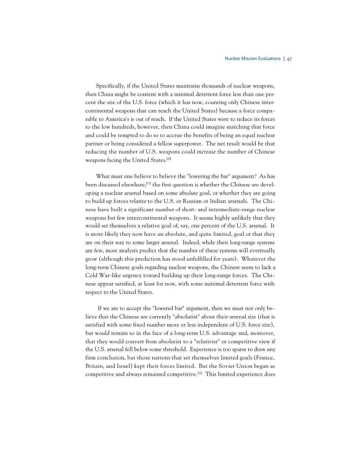Specifically, if the United States maintains thousands of nuclear weapons, then China might be content with a minimal deterrent force less than one percent the size of the U.S. force (which it has now, counting only Chinese intercontinental weapons that can reach the United States) because a force comparable to America's is out of reach. If the United States were to reduce its forces to the low hundreds, however, then China could imagine matching that force and could be tempted to do so to accrue the benefits of being an equal nuclear partner or being considered a fellow superpower. The net result would be that reducing the number of U.S. weapons could *increase* the number of Chinese weapons facing the United States.<sup>[20]</sup>

What must one believe to believe the "lowering the bar" argument? As has been discussed elsewhere,<sup>[21]</sup> the first question is whether the Chinese are developing a nuclear arsenal based on some *absolute* goal, or whether they are going to build up forces *relative*to the U.S. or Russian or Indian arsenals. The Chinese have built a significant number of short- and intermediate-range nuclear weapons but few intercontinental weapons. It seems highly unlikely that they would set themselves a relative goal of, say, one percent of the U.S. arsenal. It is more likely they now have an absolute, and quite limited, goal or that they are on their way to some larger arsenal. Indeed, while their long-range systems are few, most analysts predict that the number of these systems will eventually grow (although this prediction has stood unfulfilled for years). Whatever the long-term Chinese goals regarding nuclear weapons, the Chinese seem to lack a Cold War-like urgency toward building up their long-range forces. The Chinese appear satisfied, at least for now, with some minimal deterrent force with respect to the United States.

If we are to accept the "lowered bar" argument, then we must not only believe that the Chinese are currently "absolutist" about their arsenal size (that is satisfied with some fixed number more or less independent of U.S. force size), but would remain so in the face of a long-term U.S. advantage and, moreover, that they would convert from absolutist to a "relativist" or competitive view if the U.S. arsenal fell below some threshold. Experience is too sparse to draw any firm conclusion, but those nations that set themselves limited goals (France, Britain, and Israel) kept their forces limited. But the Soviet Union began as competitive and always remained competitive. [22] This limited experience does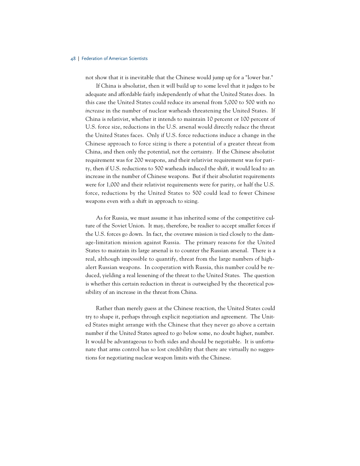not show that it is inevitable that the Chinese would jump up for a "lower bar."

If China is absolutist, then it will build up to some level that it judges to be adequate and affordable fairly independently of what the United States does. In this case the United States could reduce its arsenal from 5,000 to 500 with no *increase* in the number of nuclear warheads threatening the United States. If China is relativist, whether it intends to maintain 10 percent or 100 percent of U.S. force size, reductions in the U.S. arsenal would directly *reduce* the threat the United States faces. Only if U.S. force reductions induce a change in the Chinese approach to force sizing is there a potential of a greater threat from China, and then only the potential, not the certainty. If the Chinese absolutist requirement was for 200 weapons, and their relativist requirement was for parity, then if U.S. reductions to 500 warheads induced the shift, it would lead to an increase in the number of Chinese weapons. But if their absolutist requirements were for 1,000 and their relativist requirements were for parity, or half the U.S. force, reductions by the United States to 500 could lead to fewer Chinese weapons even with a shift in approach to sizing.

As for Russia, we must assume it has inherited some of the competitive culture of the Soviet Union. It may, therefore, be readier to accept smaller forces if the U.S. forces go down. In fact, the overawe mission is tied closely to the damage-limitation mission against Russia. The primary reasons for the United States to maintain its large arsenal is to counter the Russian arsenal. There is a real, although impossible to quantify, threat from the large numbers of highalert Russian weapons. In cooperation with Russia, this number could be reduced, yielding a real lessening of the threat to the United States. The question is whether this certain reduction in threat is outweighed by the theoretical possibility of an increase in the threat from China.

Rather than merely guess at the Chinese reaction, the United States could try to shape it, perhaps through explicit negotiation and agreement. The United States might arrange with the Chinese that they never go above a certain number if the United States agreed to go below some, no doubt higher, number. It would be advantageous to both sides and should be negotiable. It is unfortunate that arms control has so lost credibility that there are virtually no suggestions for negotiating nuclear weapon limits with the Chinese.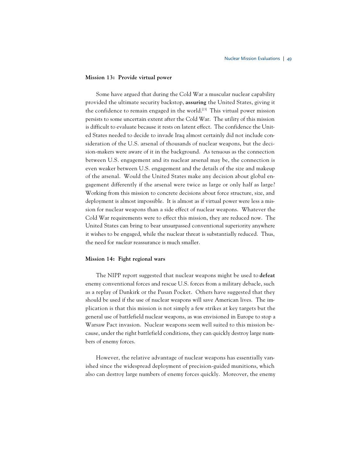# **Mission 13: Provide virtual power**

Some have argued that during the Cold War a muscular nuclear capability provided the ultimate security backstop, **assuring** the United States, giving it the confidence to remain engaged in the world.<sup>[23]</sup> This virtual power mission persists to some uncertain extent after the Cold War. The utility of this mission is difficult to evaluate because it rests on latent effect. The confidence the United States needed to decide to invade Iraq almost certainly did not include consideration of the U.S. arsenal of thousands of nuclear weapons, but the decision-makers were aware of it in the background. As tenuous as the connection between U.S. engagement and its nuclear arsenal may be, the connection is even weaker between U.S. engagement and the details of the size and makeup of the arsenal. Would the United States make any decision about global engagement differently if the arsenal were twice as large or only half as large? Working from this mission to concrete decisions about force structure, size, and deployment is almost impossible. It is almost as if virtual power were less a mission for nuclear weapons than a side effect of nuclear weapons. Whatever the Cold War requirements were to effect this mission, they are reduced now. The United States can bring to bear unsurpassed conventional superiority anywhere it wishes to be engaged, while the nuclear threat is substantially reduced. Thus, the need for *nuclear* reassurance is much smaller.

# **Mission 14: Fight regional wars**

The NIPP report suggested that nuclear weapons might be used to **defeat** enemy conventional forces and rescue U.S. forces from a military debacle, such as a replay of Dunkirk or the Pusan Pocket. Others have suggested that they should be used if the use of nuclear weapons will save American lives. The implication is that this mission is not simply a few strikes at key targets but the general use of battlefield nuclear weapons, as was envisioned in Europe to stop a Warsaw Pact invasion. Nuclear weapons seem well suited to this mission because, under the right battlefield conditions, they can quickly destroy large numbers of enemy forces.

However, the relative advantage of nuclear weapons has essentially vanished since the widespread deployment of precision-guided munitions, which also can destroy large numbers of enemy forces quickly. Moreover, the enemy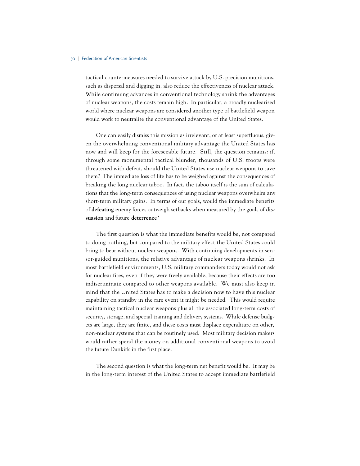tactical countermeasures needed to survive attack by U.S. precision munitions, such as dispersal and digging in, also reduce the effectiveness of nuclear attack. While continuing advances in conventional technology shrink the advantages of nuclear weapons, the costs remain high. In particular, a broadly nuclearized world where nuclear weapons are considered another type of battlefield weapon would work to neutralize the conventional advantage of the United States.

One can easily dismiss this mission as irrelevant, or at least superfluous, given the overwhelming conventional military advantage the United States has now and will keep for the foreseeable future. Still, the question remains: if, through some monumental tactical blunder, thousands of U.S. troops were threatened with defeat, should the United States use nuclear weapons to save them? The immediate loss of life has to be weighed against the consequences of breaking the long nuclear taboo. In fact, the taboo itself is the sum of calculations that the long-term consequences of using nuclear weapons overwhelm any short-term military gains. In terms of our goals, would the immediate benefits of **defeating** enemy forces outweigh setbacks when measured by the goals of **dissuasion** and future **deterrence**?

The first question is what the immediate benefits would be, not compared to doing nothing, but compared to the military effect the United States could bring to bear without nuclear weapons. With continuing developments in sensor-guided munitions, the relative advantage of nuclear weapons shrinks. In most battlefield environments, U.S. military commanders today would not ask for nuclear fires, even if they were freely available, because their effects are too indiscriminate compared to other weapons available. We must also keep in mind that the United States has to make a decision now to have this nuclear capability on standby in the rare event it might be needed. This would require maintaining tactical nuclear weapons plus all the associated long-term costs of security, storage, and special training and delivery systems. While defense budgets are large, they are finite, and these costs must displace expenditure on other, non-nuclear systems that can be routinely used. Most military decision makers would rather spend the money on additional conventional weapons to avoid the future Dunkirk in the first place.

The second question is what the long-term net benefit would be. It may be in the long-term interest of the United States to accept immediate battlefield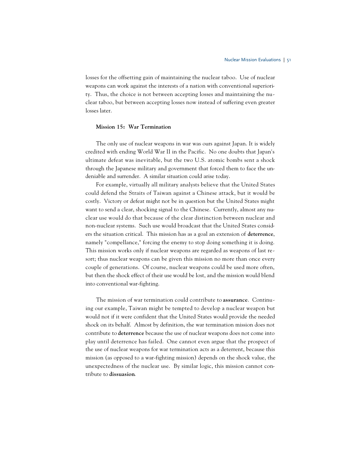losses for the offsetting gain of maintaining the nuclear taboo. Use of nuclear weapons can work against the interests of a nation with conventional superiority. Thus, the choice is not between accepting losses and maintaining the nuclear taboo, but between accepting losses now instead of suffering even greater losses later.

# **Mission 15: War Termination**

The only use of nuclear weapons in war was ours against Japan. It is widely credited with ending World War II in the Pacific. No one doubts that Japan's ultimate defeat was inevitable, but the two U.S. atomic bombs sent a shock through the Japanese military and government that forced them to face the undeniable and surrender. A similar situation could arise today.

For example, virtually all military analysts believe that the United States could defend the Straits of Taiwan against a Chinese attack, but it would be costly. Victory or defeat might not be in question but the United States might want to send a clear, shocking signal to the Chinese. Currently, almost any nuclear use would do that because of the clear distinction between nuclear and non-nuclear systems. Such use would broadcast that the United States considers the situation critical. This mission has as a goal an extension of **deterrence**, namely "compellance," forcing the enemy to stop doing something it is doing. This mission works only if nuclear weapons are regarded as weapons of last resort; thus nuclear weapons can be given this mission no more than once every couple of generations. Of course, nuclear weapons could be used more often, but then the shock effect of their use would be lost, and the mission would blend into conventional war-fighting.

The mission of war termination could contribute to **assurance**. Continuing our example, Taiwan might be tempted to develop a nuclear weapon but would not if it were confident that the United States would provide the needed shock on its behalf. Almost by definition, the war termination mission does not contribute to **deterrence** because the use of nuclear weapons does not come into play until deterrence has failed. One cannot even argue that the prospect of the use of nuclear weapons for war termination acts as a deterrent, because this mission (as opposed to a war-fighting mission) depends on the shock value, the unexpectedness of the nuclear use. By similar logic, this mission cannot contribute to **dissuasion**.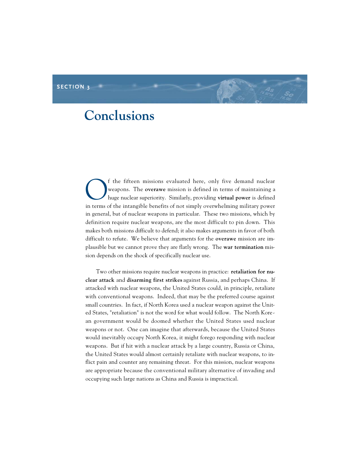# **SECTION 3**

# **Conclusions**

**C** f the fifteen missions evaluated here, only five demand nuclear weapons. The **overawe** mission is defined in terms of maintaining a huge nuclear superiority. Similarly, providing **virtual power** is defined weapons. The **overawe** mission is defined in terms of maintaining a huge nuclear superiority. Similarly, providing **virtual power** is defined in terms of the intangible benefits of not simply overwhelming military power in general, but of nuclear weapons in particular. These two missions, which by definition require nuclear weapons, are the most difficult to pin down. This makes both missions difficult to defend; it also makes arguments in favor of both difficult to refute. We believe that arguments for the **overawe** mission are implausible but we cannot prove they are flatly wrong. The **war termination** mission depends on the shock of specifically nuclear use.

Two other missions require nuclear weapons in practice: **retaliation for nuclear attack** and **disarming first strikes** against Russia, and perhaps China. If attacked with nuclear weapons, the United States could, in principle, retaliate with conventional weapons. Indeed, that may be the preferred course against small countries. In fact, if North Korea used a nuclear weapon against the United States, "retaliation" is not the word for what would follow. The North Korean government would be doomed whether the United States used nuclear weapons or not. One can imagine that afterwards, because the United States would inevitably occupy North Korea, it might forego responding with nuclear weapons. But if hit with a nuclear attack by a large country, Russia or China, the United States would almost certainly retaliate with nuclear weapons, to inflict pain and counter any remaining threat. For this mission, nuclear weapons are appropriate because the conventional military alternative of invading and occupying such large nations as China and Russia is impractical.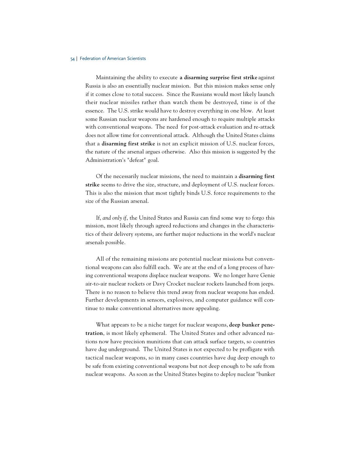Maintaining the ability to execute **a disarming surprise first strike** against Russia is also an essentially nuclear mission. But this mission makes sense only if it comes close to total success. Since the Russians would most likely launch their nuclear missiles rather than watch them be destroyed, time is of the essence. The U.S. strike would have to destroy everything in one blow. At least some Russian nuclear weapons are hardened enough to require multiple attacks with conventional weapons. The need for post-attack evaluation and re-attack does not allow time for conventional attack. Although the United States claims that a **disarming first strike** is not an explicit mission of U.S. nuclear forces, the nature of the arsenal argues otherwise. Also this mission is suggested by the Administration's "defeat" goal.

Of the necessarily nuclear missions, the need to maintain a **disarming first strike** seems to drive the size, structure, and deployment of U.S. nuclear forces. This is also the mission that most tightly binds U.S. force requirements to the size of the Russian arsenal.

If, *and only if*, the United States and Russia can find some way to forgo this mission, most likely through agreed reductions and changes in the characteristics of their delivery systems, are further major reductions in the world's nuclear arsenals possible.

All of the remaining missions are potential nuclear missions but conventional weapons can also fulfill each. We are at the end of a long process of having conventional weapons displace nuclear weapons. We no longer have Genie air-to-air nuclear rockets or Davy Crocket nuclear rockets launched from jeeps. There is no reason to believe this trend away from nuclear weapons has ended. Further developments in sensors, explosives, and computer guidance will continue to make conventional alternatives more appealing.

What appears to be a niche target for nuclear weapons, **deep bunker penetration**, is most likely ephemeral. The United States and other advanced nations now have precision munitions that can attack surface targets, so countries have dug underground. The United States is not expected to be profligate with tactical nuclear weapons, so in many cases countries have dug deep enough to be safe from existing conventional weapons but not deep enough to be safe from nuclear weapons. As soon as the United States begins to deploy nuclear "bunker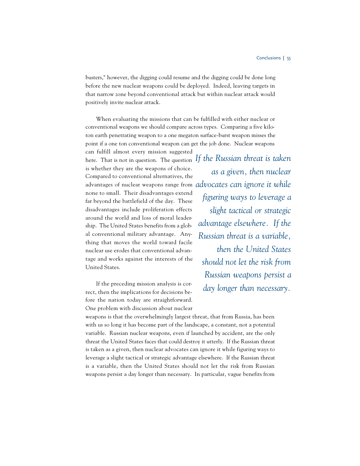busters," however, the digging could resume and the digging could be done long before the new nuclear weapons could be deployed. Indeed, leaving targets in that narrow zone beyond conventional attack but within nuclear attack would positively invite nuclear attack.

When evaluating the missions that can be fulfilled with either nuclear or conventional weapons we should compare across types. Comparing a five kiloton earth penetrating weapon to a one megaton surface-burst weapon misses the point if a one ton conventional weapon can get the job done. Nuclear weapons

can fulfill almost every mission suggested here. That is not in question. The question *If the Russian threat is taken* is whether they are the weapons of choice. Compared to conventional alternatives, the advantages of nuclear weapons range from *advocates can ignore it while* none to small. Their disadvantages extend far beyond the battlefield of the day. These disadvantages include proliferation effects around the world and loss of moral leadership. The United States benefits from a global conventional military advantage. Anything that moves the world toward facile nuclear use erodes that conventional advantage and works against the interests of the United States.

If the preceding mission analysis is correct, then the implications for decisions before the nation today are straightforward. One problem with discussion about nuclear

*as a given, then nuclear figuring ways to leverage a slight tactical or strategic advantage elsewhere. If the Russian threat is a variable, then the United States should not let the risk from Russian weapons persist a day longer than necessary.*

weapons is that the overwhelmingly largest threat, that from Russia, has been with us so long it has become part of the landscape, a constant, not a potential variable. Russian nuclear weapons, even if launched by accident, are the only threat the United States faces that could destroy it utterly. If the Russian threat is taken as a given, then nuclear advocates can ignore it while figuring ways to leverage a slight tactical or strategic advantage elsewhere. If the Russian threat is a variable, then the United States should not let the risk from Russian weapons persist a day longer than necessary. In particular, vague benefits from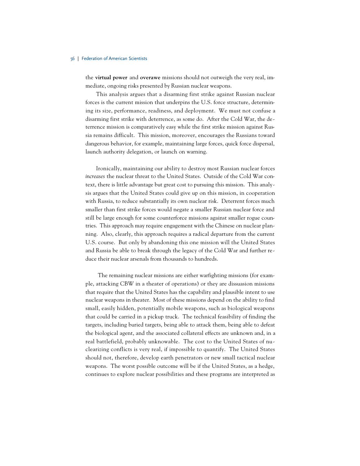the **virtual power** and **overawe** missions should not outweigh the very real, immediate, ongoing risks presented by Russian nuclear weapons.

This analysis argues that a disarming first strike against Russian nuclear forces is the current mission that underpins the U.S. force structure, determining its size, performance, readiness, and deployment. We must not confuse a disarming first strike with deterrence, as some do. After the Cold War, the deterrence mission is comparatively easy while the first strike mission against Russia remains difficult. This mission, moreover, encourages the Russians toward dangerous behavior, for example, maintaining large forces, quick force dispersal, launch authority delegation, or launch on warning.

Ironically, maintaining our ability to destroy most Russian nuclear forces *increases* the nuclear threat to the United States. Outside of the Cold War context, there is little advantage but great cost to pursuing this mission. This analysis argues that the United States could give up on this mission, in cooperation with Russia, to reduce substantially its own nuclear risk. Deterrent forces much smaller than first strike forces would negate a smaller Russian nuclear force and still be large enough for some counterforce missions against smaller rogue countries. This approach may require engagement with the Chinese on nuclear planning. Also, clearly, this approach requires a radical departure from the current U.S. course. But only by abandoning this one mission will the United States and Russia be able to break through the legacy of the Cold War and further reduce their nuclear arsenals from thousands to hundreds.

The remaining nuclear missions are either warfighting missions (for example, attacking CBW in a theater of operations) or they are dissuasion missions that require that the United States has the capability and plausible intent to use nuclear weapons in theater. Most of these missions depend on the ability to find small, easily hidden, potentially mobile weapons, such as biological weapons that could be carried in a pickup truck. The technical feasibility of finding the targets, including buried targets, being able to attack them, being able to defeat the biological agent, and the associated collateral effects are unknown and, in a real battlefield, probably unknowable. The cost to the United States of nuclearizing conflicts is very real, if impossible to quantify. The United States should not, therefore, develop earth penetrators or new small tactical nuclear weapons. The worst possible outcome will be if the United States, as a hedge, continues to explore nuclear possibilities and these programs are interpreted as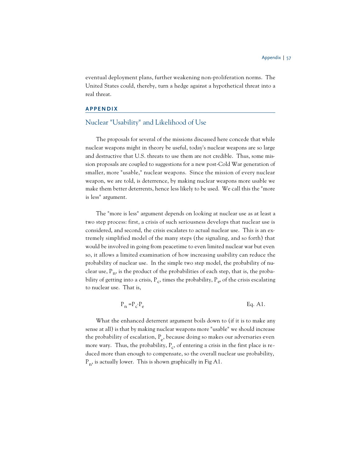eventual deployment plans, further weakening non-proliferation norms. The United States could, thereby, turn a hedge against a hypothetical threat into a real threat.

# **APPENDIX**

# Nuclear "Usability" and Likelihood of Use

The proposals for several of the missions discussed here concede that while nuclear weapons might in theory be useful, today's nuclear weapons are so large and destructive that U.S. threats to use them are not credible. Thus, some mission proposals are coupled to suggestions for a new post-Cold War generation of smaller, more "usable," nuclear weapons. Since the mission of every nuclear weapon, we are told, is deterrence, by making nuclear weapons more usable we make them better deterrents, hence less likely to be used. We call this the "more is less" argument.

The "more is less" argument depends on looking at nuclear use as at least a two step process: first, a crisis of such seriousness develops that nuclear use is considered, and second, the crisis escalates to actual nuclear use. This is an extremely simplified model of the many steps (the signaling, and so forth) that would be involved in going from peacetime to even limited nuclear war but even so, it allows a limited examination of how increasing usability can reduce the probability of nuclear use. In the simple two step model, the probability of nuclear use,  $P_n$ , is the product of the probabilities of each step, that is, the probability of getting into a crisis,  $P_c$ , times the probability,  $P_e$ , of the crisis escalating to nuclear use. That is,

$$
P_n = P_c \cdot P_e
$$
 Eq. A1.

What the enhanced deterrent argument boils down to (if it is to make any sense at all) is that by making nuclear weapons more "usable" we should increase the probability of escalation,  $P_e$ , because doing so makes our adversaries even more wary. Thus, the probability,  $P_c$ , of entering a crisis in the first place is reduced more than enough to compensate, so the overall nuclear use probability,  $P_n$ , is actually lower. This is shown graphically in Fig A1.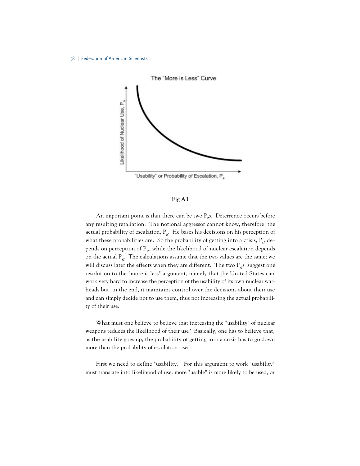

# **Fig A1**

An important point is that there can be two  $P_e$ s. Deterrence occurs before any resulting retaliation. The notional aggressor cannot know, therefore, the actual probability of escalation,  $P_e$ . He bases his decisions on his perception of what these probabilities are. So the probability of getting into a crisis,  $P_c$ , depends on perception of  $P_e$ , while the likelihood of nuclear escalation depends on the actual  $\text{P}_{\text{e}}$ . The calculations assume that the two values are the same; we will discuss later the effects when they are different. The two  $P_{e}$ s suggest one resolution to the "more is less" argument, namely that the United States can work very hard to increase the perception of the usability of its own nuclear warheads but, in the end, it maintains control over the decisions about their use and can simply decide not to use them, thus not increasing the actual probability of their use.

What must one believe to believe that increasing the "usability" of nuclear weapons reduces the likelihood of their use? Basically, one has to believe that, as the usability goes up, the probability of getting into a crisis has to go down more than the probability of escalation rises.

First we need to define "usability." For this argument to work "usability" must translate into likelihood of use: more "usable" is more likely to be used, or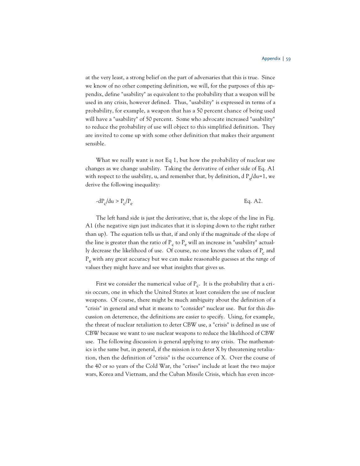at the very least, a strong belief on the part of adversaries that this is true. Since we know of no other competing definition, we will, for the purposes of this appendix, define "usability" as equivalent to the probability that a weapon will be used in any crisis, however defined. Thus, "usability" is expressed in terms of a probability, for example, a weapon that has a 50 percent chance of being used will have a "usability" of 50 percent. Some who advocate increased "usability" to reduce the probability of use will object to this simplified definition. They are invited to come up with some other definition that makes their argument sensible.

What we really want is not Eq 1, but how the probability of nuclear use changes as we change usability. Taking the derivative of either side of Eq. A1 with respect to the usability, u, and remember that, by definition, d  $P_{e}/du=1$ , we derive the following inequality:

$$
-dP_c/du > P_c/P_e \tag{Eq. A2.}
$$

The left hand side is just the derivative, that is, the slope of the line in Fig. A1 (the negative sign just indicates that it is sloping down to the right rather than up). The equation tells us that, if and only if the magnitude of the slope of the line is greater than the ratio of  $P_c$  to  $P_e$  will an increase in "usability" actually decrease the likelihood of use. Of course, no one knows the values of  $P_c$  and Pe with any great accuracy but we can make reasonable guesses at the *range* of values they might have and see what insights that gives us.

First we consider the numerical value of  $P_c$ . It is the probability that a crisis occurs, one in which the United States at least considers the use of nuclear weapons. Of course, there might be much ambiguity about the definition of a "crisis" in general and what it means to "consider" nuclear use. But for this discussion on deterrence, the definitions are easier to specify. Using, for example, the threat of nuclear retaliation to deter CBW use, a "crisis" is defined as use of CBW because we want to use nuclear weapons to reduce the likelihood of CBW use. The following discussion is general applying to any crisis. The mathematics is the same but, in general, if the mission is to deter X by threatening retaliation, then the definition of "crisis" is the occurrence of X. Over the course of the 40 or so years of the Cold War, the "crises" include at least the two major wars, Korea and Vietnam, and the Cuban Missile Crisis, which has even incor-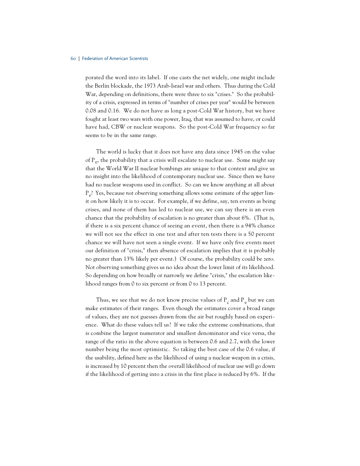porated the word into its label. If one casts the net widely, one might include the Berlin blockade, the 1973 Arab-Israel war and others. Thus during the Cold War, depending on definitions, there were three to six "crises." So the probability of a crisis, expressed in terms of "number of crises per year" would be between 0.08 and 0.16. We do not have as long a post-Cold War history, but we have fought at least two wars with one power, Iraq, that was assumed to have, or could have had, CBW or nuclear weapons. So the post-Cold War frequency so far seems to be in the same range.

The world is lucky that it does not have any data since 1945 on the value of  $P_e$ , the probability that a crisis will escalate to nuclear use. Some might say that the World War II nuclear bombings are unique to that context and give us no insight into the likelihood of contemporary nuclear use. Since then we have had no nuclear weapons used in conflict. So can we know anything at all about Pe ? Yes, because *not* observing something allows some estimate of the *upper* limit on how likely it is to occur. For example, if we define, say, ten events as being crises, and none of them has led to nuclear use, we can say there is an even chance that the probability of escalation is no greater than about 6%. (That is, if there is a six percent chance of seeing an event, then there is a 94% chance we will not see the effect in one test and after ten tests there is a 50 percent chance we will have not seen a single event. If we have only five events meet our definition of "crisis," then absence of escalation implies that it is probably no greater than 13% likely per event.) Of course, the probability could be zero. Not observing something gives us no idea about the lower limit of its likelihood. So depending on how broadly or narrowly we define "crisis," the escalation likelihood ranges from 0 to six percent or from 0 to 13 percent.

Thus, we see that we do not know precise values of  $P_c$  and  $P_e$  but we can make estimates of their ranges. Even though the estimates cover a broad range of values, they are not guesses drawn from the air but roughly based on experience. What do these values tell us? If we take the extreme combinations, that is combine the largest numerator and smallest denominator and vice versa, the range of the ratio in the above equation is between 0.6 and 2.7, with the lower number being the most optimistic. So taking the best case of the 0.6 value, if the usability, defined here as the likelihood of using a nuclear weapon in a crisis, is increased by 10 percent then the overall likelihood of nuclear use will go down if the likelihood of getting into a crisis in the first place is reduced by 6%. If the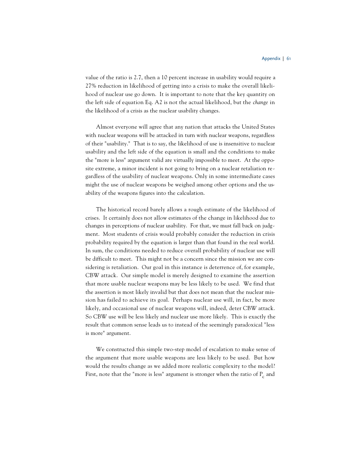value of the ratio is 2.7, then a 10 percent increase in usability would require a 27% reduction in likelihood of getting into a crisis to make the overall likelihood of nuclear use go down. It is important to note that the key quantity on the left side of equation Eq. A2 is not the actual likelihood, but the *change* in the likelihood of a crisis as the nuclear usability changes.

Almost everyone will agree that any nation that attacks the United States with nuclear weapons will be attacked in turn with nuclear weapons, regardless of their "usability." That is to say, the likelihood of use is insensitive to nuclear usability and the left side of the equation is small and the conditions to make the "more is less" argument valid are virtually impossible to meet. At the opposite extreme, a minor incident is not going to bring on a nuclear retaliation regardless of the usability of nuclear weapons. Only in some intermediate cases might the use of nuclear weapons be weighed among other options and the usability of the weapons figures into the calculation.

The historical record barely allows a rough estimate of the likelihood of crises. It certainly does not allow estimates of the change in likelihood due to changes in perceptions of nuclear usability. For that, we must fall back on judgment. Most students of crisis would probably consider the reduction in crisis probability required by the equation is larger than that found in the real world. In sum, the conditions needed to reduce overall probability of nuclear use will be difficult to meet. This might not be a concern since the mission we are considering is retaliation. Our goal in this instance is deterrence of, for example, CBW attack. Our simple model is merely designed to examine the assertion that more usable nuclear weapons may be less likely to be used. We find that the assertion is most likely invalid but that does not mean that the nuclear mission has failed to achieve its goal. Perhaps nuclear use will, in fact, be more likely, and occasional use of nuclear weapons will, indeed, deter CBW attack. So CBW use will be less likely and nuclear use more likely. This is exactly the result that common sense leads us to instead of the seemingly paradoxical "less is more" argument.

We constructed this simple two-step model of escalation to make sense of the argument that more usable weapons are less likely to be used. But how would the results change as we added more realistic complexity to the model? First, note that the "more is less" argument is stronger when the ratio of  $P_c$  and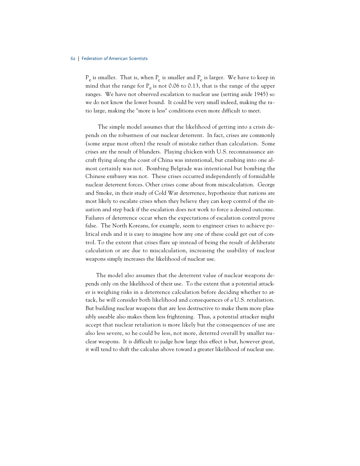$P_e$  is smaller. That is, when  $P_c$  is smaller and  $P_e$  is larger. We have to keep in mind that the range for  $P_e$  is not 0.06 to 0.13, that is the range of the upper ranges. We have not observed escalation to nuclear use (setting aside 1945) so we do not know the lower bound. It could be very small indeed, making the ratio large, making the "more is less" conditions even more difficult to meet.

The simple model assumes that the likelihood of getting into a crisis depends on the robustness of our nuclear deterrent. In fact, crises are commonly (some argue most often) the result of mistake rather than calculation. Some crises are the result of blunders. Playing chicken with U.S. reconnaissance aircraft flying along the coast of China was intentional, but crashing into one almost certainly was not. Bombing Belgrade was intentional but bombing the Chinese embassy was not. These crises occurred independently of formidable nuclear deterrent forces. Other crises come about from miscalculation. George and Smoke, in their study of Cold War deterrence, hypothesize that nations are most likely to escalate crises when they believe they can keep control of the situation and step back if the escalation does not work to force a desired outcome. Failures of deterrence occur when the expectations of escalation control prove false. The North Koreans, for example, seem to engineer crises to achieve political ends and it is easy to imagine how any one of these could get out of control. To the extent that crises flare up instead of being the result of deliberate calculation or are due to miscalculation, increasing the usability of nuclear weapons simply increases the likelihood of nuclear use.

The model also assumes that the deterrent value of nuclear weapons depends only on the likelihood of their use. To the extent that a potential attacker is weighing risks in a deterrence calculation before deciding whether to attack, he will consider both likelihood and consequences of a U.S. retaliation. But building nuclear weapons that are less destructive to make them more plausibly useable also makes them less frightening. Thus, a potential attacker might accept that nuclear retaliation is more likely but the consequences of use are also less severe, so he could be less, not more, deterred overall by smaller nuclear weapons. It is difficult to judge how large this effect is but, however great, it will tend to shift the calculus above toward a greater likelihood of nuclear use.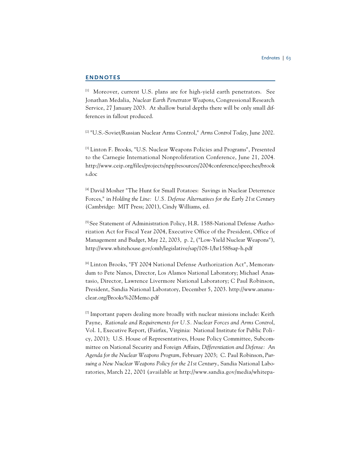# **ENDNOTES**

[1] Moreover, current U.S. plans are for high-yield earth penetrators. See Jonathan Medalia, *Nuclear Earth Penetrator Weapons*, Congressional Research Service, 27 January 2003. At shallow burial depths there will be only small differences in fallout produced.

[2] "U.S.-Soviet/Russian Nuclear Arms Control," *Arms Control Today*, June 2002.

<sup>[3]</sup> Linton F. Brooks, "U.S. Nuclear Weapons Policies and Programs", Presented to the Carnegie International Nonproliferation Conference, June 21, 2004. http://www.ceip.org/files/projects/npp/resources/2004conference/speeches/brook s.doc

[4] David Mosher "The Hunt for Small Potatoes: Savings in Nuclear Deterrence Forces," in *Holding the Line: U.S. Defense Alternatives for the Early 21st Century* (Cambridge: MIT Press; 2001), Cindy Williams, ed.

<sup>[5]</sup> See Statement of Administration Policy, H.R. 1588-National Defense Authorization Act for Fiscal Year 2004, Executive Office of the President, Office of Management and Budget, May 22, 2003, p. 2, ("Low-Yield Nuclear Weapons"), http://www.whitehouse.gov/omb/legislative/sap/108-1/hr1588sap-h.pdf

[6] Linton Brooks, "FY 2004 National Defense Authorization Act", Memorandum to Pete Nanos, Director, Los Alamos National Laboratory; Michael Anastasio, Director, Lawrence Livermore National Laboratory; C Paul Robinson, President, Sandia National Laboratory, December 5, 2003. http://www.ananuclear.org/Brooks%20Memo.pdf

[7] Important papers dealing more broadly with nuclear missions include: Keith Payne, *Rationale and Requirements for U.S. Nuclear Forces and Arms Control*, Vol. 1, Executive Report, (Fairfax, Virginia: National Institute for Public Policy, 2001); U.S. House of Representatives, House Policy Committee, Subcommittee on National Security and Foreign Affairs, *Differentiation and Defense: An Agenda for the Nuclear Weapons Program*, February 2003; C. Paul Robinson, *Pursuing a New Nuclear Weapons Policy for the 21st Century*, Sandia National Laboratories, March 22, 2001 (available at http://www.sandia.gov/media/whitepa-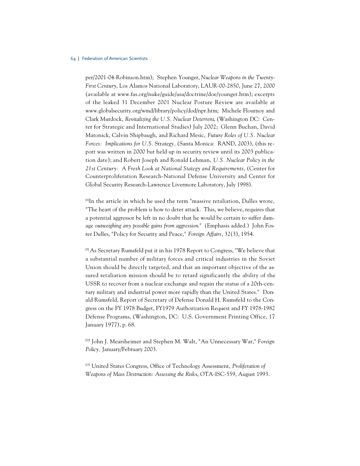per/2001-04-Robinson.htm); Stephen Younger, *Nuclear Weapons in the Twenty-First Century*, Los Alamos National Laboratory, LAUR-00-2850, June 27, 2000 (available at www.fas.org/nuke/guide/usa/doctrine/doe/younger.htm); excerpts of the leaked 31 December 2001 Nuclear Posture Review are available at www.globalsecurity.org/wmd/library/policy/dod/npr.htm; Michele Flournoy and Clark Murdock, *Revitalizing the U.S. Nuclear Deterrent*, (Washington DC: Center for Strategic and International Studies) July 2002; Glenn Buchan, David Matonick, Calvin Shipbaugh, and Richard Mesic, *Future Roles of U.S. Nuclear Forces: Implications for U.S.* Str*ategy,* (Santa Monica: RAND, 2003), (this report was written in 2000 but held up in security review until its 2003 publication date); and Robert Joseph and Ronald Lehman, *U.S. Nuclear Policy in the 21st Century: A Fresh Look at National Stategy and Requirements*, (Center for Counterproliferation Research-National Defense University and Center for Global Security Research-Lawrence Livermore Laboratory, July 1998).

[8]In the article in which he used the term "massive retaliation, Dulles wrote, "The heart of the problem is how to deter attack. This, we believe, requires that a potential aggressor be left in no doubt that he would be certain to suffer damage *outweighing any possible gains from aggression*." (Emphasis added.) John Foster Dulles, "Policy for Security and Peace," *Foreign Affairs*, 32(3), 1954.

<sup>[9]</sup> As Secretary Rumsfeld put it in his 1978 Report to Congress, "We believe that a substantial number of military forces and critical industries in the Soviet Union should be directly targeted, and that an important objective of the assured retaliation mission should be to retard significantly the ability of the USSR to recover from a nuclear exchange and regain the status of a 20th-century military and industrial power more rapidly than the United States." Donald Rumsfeld, Report of Secretary of Defense Donald H. Rumsfeld to the Congress on the FY 1978 Budget, FY1979 Authorization Request and FY 1978-1982 Defense Programs, (Washington, DC: U.S. Government Printing Office, 17 January 1977), p. 68.

[10] John J. Mearsheimer and Stephen M. Walt, "An Unnecessary War," *Foreign Policy,* January/February 2003.

[11] United States Congress, Office of Technology Assessment, *Proliferation of Weapons of Mass Destruction: Assessing the Risk*s, OTA-ISC-559, August 1993.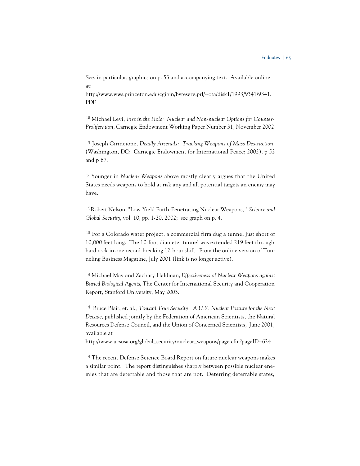See, in particular, graphics on p. 53 and accompanying text. Available online at:

http://www.wws.princeton.edu/cgibin/byteserv.prl/~ota/disk1/1993/9341/9341. PDF

[12] Michael Levi, *Fire in the Hole: Nuclear and Non-nuclear Options for Counter-Proliferation*, Carnegie Endowment Working Paper Number 31, November 2002

[13] Joseph Cirincione, *Deadly Arsenals: Tracking Weapons of Mass Destruction*, (Washington, DC: Carnegie Endowment for International Peace; 2002), p 52 and p 67.

[14] Younger in *Nuclear Weapons* above mostly clearly argues that the United States needs weapons to hold at risk any and all potential targets an enemy may have.

[15]Robert Nelson, "Low-Yield Earth-Penetrating Nuclear Weapons, " *Science and Global Security*, vol. 10, pp. 1-20, 2002; see graph on p. 4.

[16] For a Colorado water project, a commercial firm dug a tunnel just short of 10,000 feet long. The 10-foot diameter tunnel was extended 219 feet through hard rock in one record-breaking 12-hour shift. From the online version of Tunneling Business Magazine, July 2001 (link is no longer active).

[17] Michael May and Zachary Haldman, *Effectiveness of Nuclear Weapons against Buried Biological Agents*, The Center for International Security and Cooperation Report, Stanford University, May 2003.

[18] Bruce Blair, et. al., *Toward True Security: A U.S. Nuclear Posture for the Next Decade*, published jointly by the Federation of American Scientists, the Natural Resources Defense Council, and the Union of Concerned Scientists, June 2001, available at

http://www.ucsusa.org/global\_security/nuclear\_weapons/page.cfm?pageID=624.

[19] The recent Defense Science Board Report on future nuclear weapons makes a similar point. The report distinguishes sharply between possible nuclear enemies that are deterrable and those that are not. Deterring deterrable states,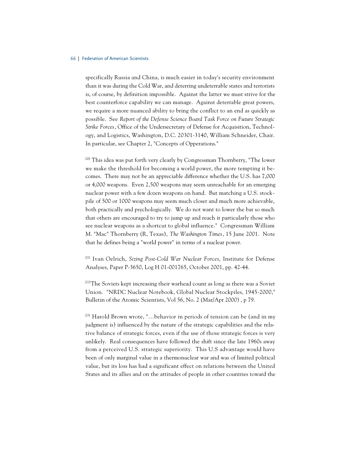## 66 | Federation of American Scientists

specifically Russia and China, is much easier in today's security environment than it was during the Cold War, and deterring undeterrable states and terrorists is, of course, by definition impossible. Against the latter we must strive for the best counterforce capability we can manage. Against deterrable great powers, we require a more nuanced ability to bring the conflict to an end as quickly as possible. See *Report of the Defense Science Board Task Force on Future Strategic Strike Forces*, Office of the Undersecretary of Defense for Acquisition, Technology, and Logistics, Washington, D.C. 20301-3140, William Schneider, Chair. In particular, see Chapter 2, "Concepts of Opperations."

 $[20]$  This idea was put forth very clearly by Congressman Thornberry, "The lower we make the threshold for becoming a world power, the more tempting it becomes. There may not be an appreciable difference whether the U.S. has 7,000 or 4,000 weapons. Even 2,500 weapons may seem unreachable for an emerging nuclear power with a few dozen weapons on hand. But matching a U.S. stockpile of 500 or 1000 weapons may seem much closer and much more achievable, both practically and psychologically. We do not want to lower the bar so much that others are encouraged to try to jump up and reach it particularly those who see nuclear weapons as a shortcut to global influence." Congressman William M. "Mac" Thornberry (R, Texas), *The Washington Times*, 15 June 2001. Note that he defines being a "world power" in terms of a nuclear power.

[21] Ivan Oelrich, *Sizing Post-Cold War Nuclear Forces*, Institute for Defense Analyses, Paper P-3650, Log H 01-001765, October 2001, pp. 42-44.

<sup>[22]</sup>The Soviets kept increasing their warhead count as long as there was a Soviet Union. "NRDC Nuclear Notebook, Global Nuclear Stockpiles, 1945-2000," Bulletin of the Atomic Scientists, Vol 56, No. 2 (Mar/Apr 2000) , p 79.

 $[23]$  Harold Brown wrote, "...behavior in periods of tension can be (and in my judgment is) influenced by the nature of the strategic capabilities and the relative balance of strategic forces, even if the use of those strategic forces is very unlikely. Real consequences have followed the shift since the late 1960s away from a perceived U.S. strategic superiority. This U.S advantage would have been of only marginal value in a thermonuclear war and was of limited political value, but its loss has had a significant effect on relations between the United States and its allies and on the attitudes of people in other countries toward the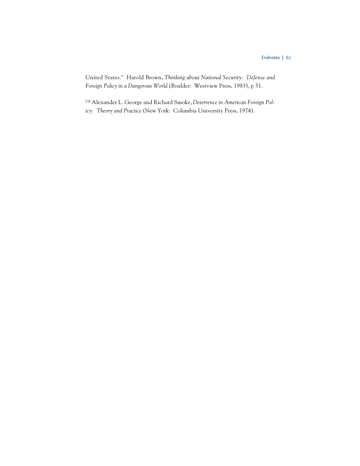United States." Harold Brown, *Thinking about National Security: Defense and Foreign Policy in a Dangerous World* (Boulder: Westview Press, 1983), p 51.

[24] Alexander L. George and Richard Smoke, *Deterrence in American Foreign Policy: Theory and Practice* (New York: Columbia University Press, 1974).